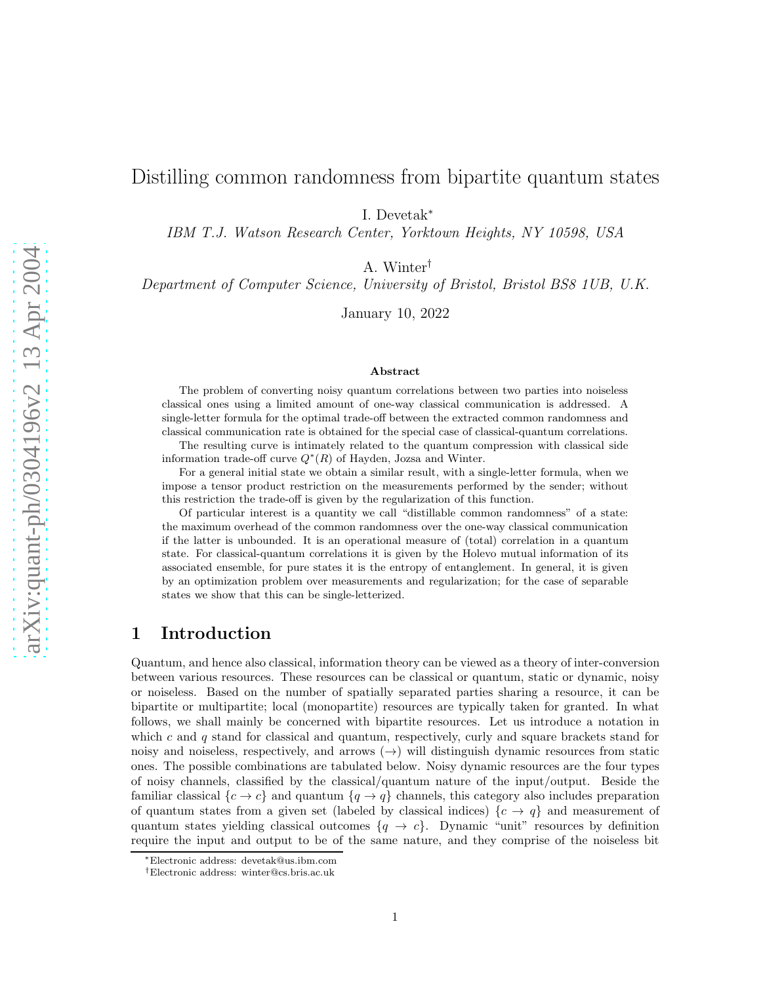# Distilling common randomness from bipartite quantum states

I. Devetak<sup>∗</sup>

IBM T.J. Watson Research Center, Yorktown Heights, NY 10598, USA

A. Winter†

Department of Computer Science, University of Bristol, Bristol BS8 1UB, U.K.

January 10, 2022

#### Abstract

The problem of converting noisy quantum correlations between two parties into noiseless classical ones using a limited amount of one-way classical communication is addressed. A single-letter formula for the optimal trade-off between the extracted common randomness and classical communication rate is obtained for the special case of classical-quantum correlations.

The resulting curve is intimately related to the quantum compression with classical side information trade-off curve  $Q^*(R)$  of Hayden, Jozsa and Winter.

For a general initial state we obtain a similar result, with a single-letter formula, when we impose a tensor product restriction on the measurements performed by the sender; without this restriction the trade-off is given by the regularization of this function.

Of particular interest is a quantity we call "distillable common randomness" of a state: the maximum overhead of the common randomness over the one-way classical communication if the latter is unbounded. It is an operational measure of (total) correlation in a quantum state. For classical-quantum correlations it is given by the Holevo mutual information of its associated ensemble, for pure states it is the entropy of entanglement. In general, it is given by an optimization problem over measurements and regularization; for the case of separable states we show that this can be single-letterized.

## 1 Introduction

Quantum, and hence also classical, information theory can be viewed as a theory of inter-conversion between various resources. These resources can be classical or quantum, static or dynamic, noisy or noiseless. Based on the number of spatially separated parties sharing a resource, it can be bipartite or multipartite; local (monopartite) resources are typically taken for granted. In what follows, we shall mainly be concerned with bipartite resources. Let us introduce a notation in which c and  $q$  stand for classical and quantum, respectively, curly and square brackets stand for noisy and noiseless, respectively, and arrows  $(\rightarrow)$  will distinguish dynamic resources from static ones. The possible combinations are tabulated below. Noisy dynamic resources are the four types of noisy channels, classified by the classical/quantum nature of the input/output. Beside the familiar classical  ${c \rightarrow c}$  and quantum  ${q \rightarrow q}$  channels, this category also includes preparation of quantum states from a given set (labeled by classical indices)  $\{c \to q\}$  and measurement of quantum states yielding classical outcomes  $\{q \to c\}$ . Dynamic "unit" resources by definition require the input and output to be of the same nature, and they comprise of the noiseless bit

<sup>∗</sup>Electronic address: devetak@us.ibm.com

<sup>†</sup>Electronic address: winter@cs.bris.ac.uk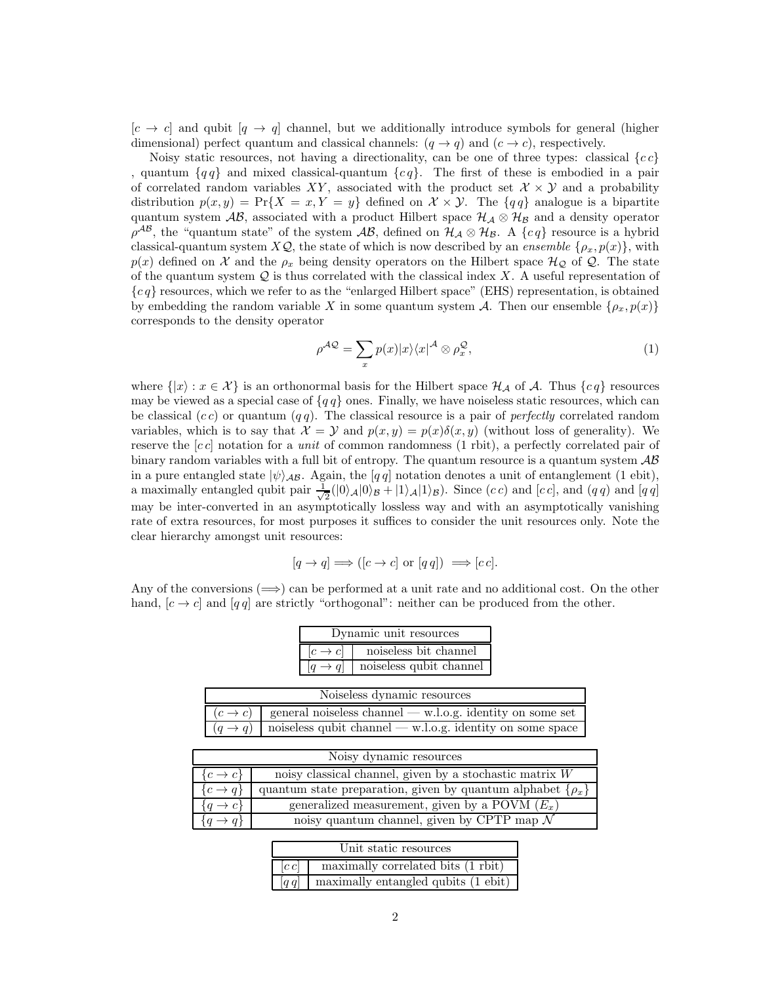$[c \rightarrow c]$  and qubit  $[q \rightarrow q]$  channel, but we additionally introduce symbols for general (higher dimensional) perfect quantum and classical channels:  $(q \rightarrow q)$  and  $(c \rightarrow c)$ , respectively.

Noisy static resources, not having a directionality, can be one of three types: classical  ${cc}$ , quantum  ${q \mid q}$  and mixed classical-quantum  ${c \mid q}$ . The first of these is embodied in a pair of correlated random variables XY, associated with the product set  $\mathcal{X} \times \mathcal{Y}$  and a probability distribution  $p(x, y) = \Pr{X = x, Y = y}$  defined on  $\mathcal{X} \times \mathcal{Y}$ . The  $\{qq\}$  analogue is a bipartite quantum system AB, associated with a product Hilbert space  $\mathcal{H}_{\mathcal{A}} \otimes \mathcal{H}_{\mathcal{B}}$  and a density operator  $\rho^{AB}$ , the "quantum state" of the system  $AB$ , defined on  $\mathcal{H}_{\mathcal{A}} \otimes \mathcal{H}_{\mathcal{B}}$ . A  $\{cq\}$  resource is a hybrid classical-quantum system  $X\mathcal{Q}$ , the state of which is now described by an *ensemble*  $\{\rho_x, p(x)\}\$ , with  $p(x)$  defined on X and the  $\rho_x$  being density operators on the Hilbert space  $\mathcal{H}_{\mathcal{Q}}$  of  $\mathcal{Q}$ . The state of the quantum system  $Q$  is thus correlated with the classical index X. A useful representation of  ${c \mid a}$  resources, which we refer to as the "enlarged Hilbert space" (EHS) representation, is obtained by embedding the random variable X in some quantum system A. Then our ensemble  $\{\rho_x, p(x)\}\$ corresponds to the density operator

<span id="page-1-0"></span>
$$
\rho^{\mathcal{AQ}} = \sum_{x} p(x) |x\rangle\langle x|^{ \mathcal{A}} \otimes \rho_{x}^{\mathcal{Q}},\tag{1}
$$

where  $\{|x\rangle : x \in \mathcal{X}\}\$ is an orthonormal basis for the Hilbert space  $\mathcal{H}_{\mathcal{A}}$  of  $\mathcal{A}$ . Thus  $\{cq\}$  resources may be viewed as a special case of  $\{q\}$  ones. Finally, we have noiseless static resources, which can be classical  $(cc)$  or quantum  $(qq)$ . The classical resource is a pair of *perfectly* correlated random variables, which is to say that  $\mathcal{X} = \mathcal{Y}$  and  $p(x, y) = p(x)\delta(x, y)$  (without loss of generality). We reserve the [c c] notation for a *unit* of common randomness (1 rbit), a perfectly correlated pair of binary random variables with a full bit of entropy. The quantum resource is a quantum system  $\mathcal{AB}$ in a pure entangled state  $|\psi\rangle_{AB}$ . Again, the  $[q\,q]$  notation denotes a unit of entanglement (1 ebit), a maximally entangled qubit pair  $\frac{1}{\sqrt{2}}$  $\frac{1}{2}(|0\rangle_{\mathcal{A}}|0\rangle_{\mathcal{B}} + |1\rangle_{\mathcal{A}}|1\rangle_{\mathcal{B}})$ . Since  $(cc)$  and  $[cc]$ , and  $(q q)$  and  $[q q]$ may be inter-converted in an asymptotically lossless way and with an asymptotically vanishing rate of extra resources, for most purposes it suffices to consider the unit resources only. Note the clear hierarchy amongst unit resources:

$$
[q \to q] \Longrightarrow ([c \to c] \text{ or } [q q]) \Longrightarrow [c c].
$$

Any of the conversions  $(\implies)$  can be performed at a unit rate and no additional cost. On the other hand,  $[c \rightarrow c]$  and  $[q q]$  are strictly "orthogonal": neither can be produced from the other.

| Dynamic unit resources |                         |
|------------------------|-------------------------|
| $ c \rightarrow c $    | noiseless bit channel   |
| $ q \to q $            | noiseless qubit channel |

| Noiseless dynamic resources                                                   |
|-------------------------------------------------------------------------------|
| $(c \rightarrow c)$ general noiseless channel — w.l.o.g. identity on some set |
| $(q \rightarrow q)$ noiseless qubit channel — w.l.o.g. identity on some space |

|                       | Noisy dynamic resources                                           |
|-----------------------|-------------------------------------------------------------------|
| $\{c \rightarrow c\}$ | noisy classical channel, given by a stochastic matrix $W$         |
| $\{c \rightarrow q\}$ | quantum state preparation, given by quantum alphabet $\{\rho_x\}$ |
| $\{q \to c\}$         | generalized measurement, given by a POVM $(E_x)$                  |
|                       | noisy quantum channel, given by CPTP map $\mathcal N$             |

|          | Unit static resources               |
|----------|-------------------------------------|
| $ c\,c $ | maximally correlated bits (1 rbit)  |
|          | maximally entangled qubits (1 ebit) |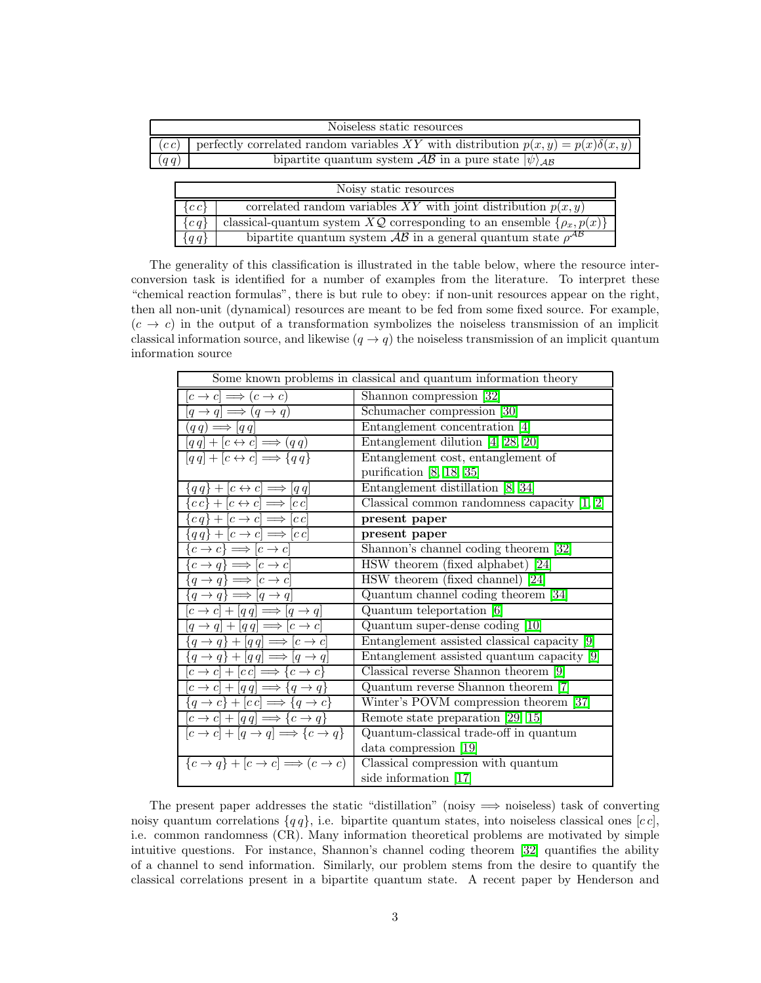|       | Noiseless static resources                                                              |
|-------|-----------------------------------------------------------------------------------------|
| (c c) | perfectly correlated random variables XY with distribution $p(x, y) = p(x)\delta(x, y)$ |
| (qq)  | bipartite quantum system $\mathcal{AB}$ in a pure state $ \psi\rangle_{\mathcal{AB}}$   |

|         | Noisy static resources                                                        |
|---------|-------------------------------------------------------------------------------|
| ${cc}$  | correlated random variables XY with joint distribution $p(x, y)$              |
| ${c q}$ | classical-quantum system $XQ$ corresponding to an ensemble $\{\rho_x, p(x)\}$ |
| ${qq}$  | bipartite quantum system $AB$ in a general quantum state $\rho^{AB}$          |

The generality of this classification is illustrated in the table below, where the resource interconversion task is identified for a number of examples from the literature. To interpret these "chemical reaction formulas", there is but rule to obey: if non-unit resources appear on the right, then all non-unit (dynamical) resources are meant to be fed from some fixed source. For example,  $(c \to c)$  in the output of a transformation symbolizes the noiseless transmission of an implicit classical information source, and likewise  $(q \rightarrow q)$  the noiseless transmission of an implicit quantum information source

|                                                                             | Some known problems in classical and quantum information theory |
|-----------------------------------------------------------------------------|-----------------------------------------------------------------|
| $[c \to c] \Longrightarrow (c \to c)$                                       | Shannon compression [32]                                        |
| $[q \rightarrow q] \Longrightarrow (q \rightarrow q)$                       | Schumacher compression [30]                                     |
| $(q q) \Longrightarrow [q q]$                                               | Entanglement concentration [4]                                  |
| $[q q] + [c \leftrightarrow c] \Longrightarrow (q q)$                       | Entanglement dilution $[4, 28, 20]$                             |
| $[q q] + [c \leftrightarrow c] \Longrightarrow \{q q\}$                     | Entanglement cost, entanglement of                              |
|                                                                             | purification $[8, 18, 35]$                                      |
| $\{q q\} + [c \leftrightarrow c] \Longrightarrow [q q]$                     | Entanglement distillation [8, 34]                               |
| ${c\,c\} + [c \leftrightarrow c] \Longrightarrow [c\,c]$                    | Classical common randomness capacity $[1, 2]$                   |
| ${c q}$ + $[c \rightarrow c] \Longrightarrow [c c]$                         | present paper                                                   |
| $\{q q\} + [c \rightarrow c] \Longrightarrow [c c]$                         | present paper                                                   |
| $\{c \to c\} \Longrightarrow [c \to c]$                                     | Shannon's channel coding theorem [32]                           |
| $\{c \to q\} \Longrightarrow [c \to c]$                                     | HSW theorem (fixed alphabet) [24]                               |
| $\{q \rightarrow q\} \Longrightarrow [c \rightarrow c]$                     | HSW theorem (fixed channel) [24]                                |
| ${q \rightarrow q} \Longrightarrow [q \rightarrow q]$                       | Quantum channel coding theorem [34]                             |
| $[c \rightarrow c] + [q q] \Longrightarrow [q \rightarrow q]$               | Quantum teleportation [6]                                       |
| $[q \rightarrow q] + [q q] \Longrightarrow [c \rightarrow c]$               | Quantum super-dense coding [10]                                 |
| $\{q \rightarrow q\} + [q q] \Longrightarrow [c \rightarrow c]$             | Entanglement assisted classical capacity [9]                    |
| $\{q \rightarrow q\} + [q q] \Longrightarrow [q \rightarrow q]$             | Entanglement assisted quantum capacity [9]                      |
| $[c \to c] + [c c] \Longrightarrow \{c \to c\}$                             | Classical reverse Shannon theorem [9]                           |
| $[c \rightarrow c] + [q q] \Longrightarrow \{q \rightarrow q\}$             | Quantum reverse Shannon theorem [7]                             |
| ${q \rightarrow c}$ + $[cc] \Longrightarrow {q \rightarrow c}$              | Winter's POVM compression theorem [37]                          |
| $[c \rightarrow c] + [q q] \Longrightarrow \{c \rightarrow q\}$             | Remote state preparation [29, 15]                               |
| $[c \rightarrow c] + [q \rightarrow q] \Longrightarrow \{c \rightarrow q\}$ | Quantum-classical trade-off in quantum                          |
|                                                                             | data compression [19]                                           |
| ${c \rightarrow q}$ + $[c \rightarrow c] \Longrightarrow (c \rightarrow c)$ | Classical compression with quantum                              |
|                                                                             | side information [17]                                           |

The present paper addresses the static "distillation" (noisy  $\implies$  noiseless) task of converting noisy quantum correlations  ${q q}$ , i.e. bipartite quantum states, into noiseless classical ones [c c], i.e. common randomness (CR). Many information theoretical problems are motivated by simple intuitive questions. For instance, Shannon's channel coding theorem [\[32\]](#page-21-0) quantifies the ability of a channel to send information. Similarly, our problem stems from the desire to quantify the classical correlations present in a bipartite quantum state. A recent paper by Henderson and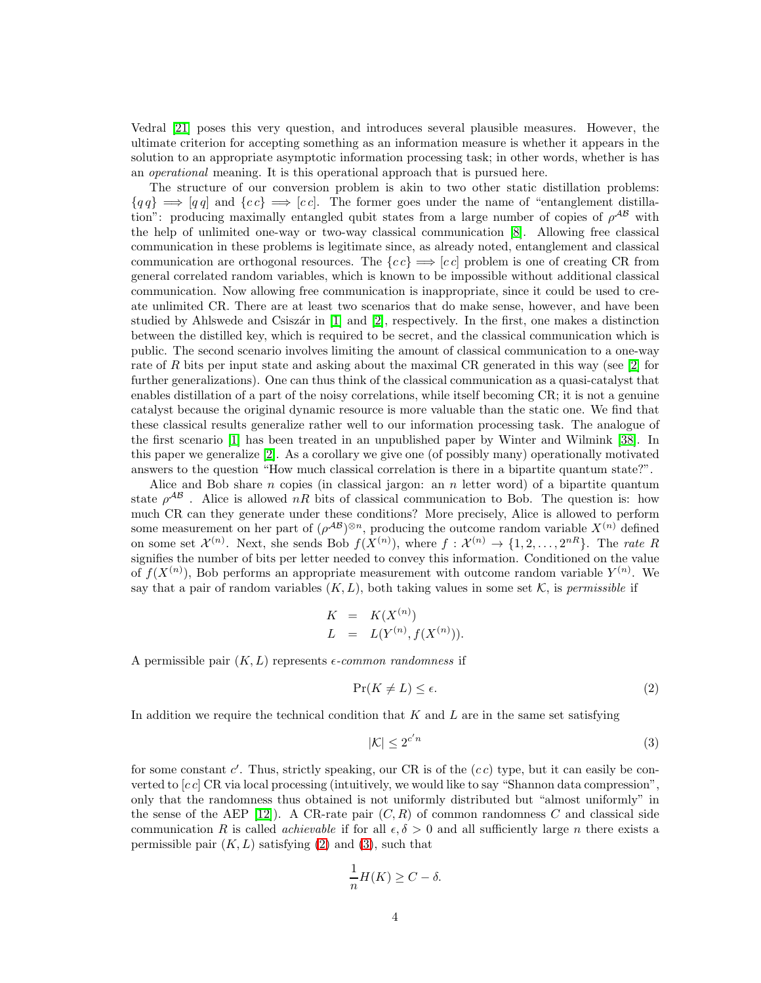Vedral [\[21\]](#page-20-11) poses this very question, and introduces several plausible measures. However, the ultimate criterion for accepting something as an information measure is whether it appears in the solution to an appropriate asymptotic information processing task; in other words, whether is has an *operational* meaning. It is this operational approach that is pursued here.

The structure of our conversion problem is akin to two other static distillation problems:  ${q \mid q \mid \Rightarrow \neg q \mid a}$  and  ${cc} \Rightarrow [cc]$ . The former goes under the name of "entanglement distillation": producing maximally entangled qubit states from a large number of copies of  $\rho^{AB}$  with the help of unlimited one-way or two-way classical communication [\[8\]](#page-20-2). Allowing free classical communication in these problems is legitimate since, as already noted, entanglement and classical communication are orthogonal resources. The  ${cc} \implies [cc]$  problem is one of creating CR from general correlated random variables, which is known to be impossible without additional classical communication. Now allowing free communication is inappropriate, since it could be used to create unlimited CR. There are at least two scenarios that do make sense, however, and have been studied by Ahlswede and Csiszár in [\[1\]](#page-19-0) and [\[2\]](#page-19-1), respectively. In the first, one makes a distinction between the distilled key, which is required to be secret, and the classical communication which is public. The second scenario involves limiting the amount of classical communication to a one-way rate of R bits per input state and asking about the maximal CR generated in this way (see [\[2\]](#page-19-1) for further generalizations). One can thus think of the classical communication as a quasi-catalyst that enables distillation of a part of the noisy correlations, while itself becoming CR; it is not a genuine catalyst because the original dynamic resource is more valuable than the static one. We find that these classical results generalize rather well to our information processing task. The analogue of the first scenario [\[1\]](#page-19-0) has been treated in an unpublished paper by Winter and Wilmink [\[38\]](#page-22-1). In this paper we generalize [\[2\]](#page-19-1). As a corollary we give one (of possibly many) operationally motivated answers to the question "How much classical correlation is there in a bipartite quantum state?".

Alice and Bob share n copies (in classical jargon: an n letter word) of a bipartite quantum state  $\rho^{AB}$ . Alice is allowed nR bits of classical communication to Bob. The question is: how much CR can they generate under these conditions? More precisely, Alice is allowed to perform some measurement on her part of  $(\rho^{AB})^{\otimes n}$ , producing the outcome random variable  $X^{(n)}$  defined on some set  $\mathcal{X}^{(n)}$ . Next, she sends Bob  $f(X^{(n)})$ , where  $f: \mathcal{X}^{(n)} \to \{1, 2, ..., 2^{nR}\}$ . The *rate* R signifies the number of bits per letter needed to convey this information. Conditioned on the value of  $f(X^{(n)})$ , Bob performs an appropriate measurement with outcome random variable  $Y^{(n)}$ . We say that a pair of random variables  $(K, L)$ , both taking values in some set K, is *permissible* if

<span id="page-3-0"></span>
$$
K = K(X^{(n)})
$$
  
\n
$$
L = L(Y^{(n)}, f(X^{(n)})).
$$

A permissible pair  $(K, L)$  represents  $\epsilon$ -common randomness if

<span id="page-3-1"></span>
$$
\Pr(K \neq L) \le \epsilon. \tag{2}
$$

In addition we require the technical condition that  $K$  and  $L$  are in the same set satisfying

$$
|\mathcal{K}| \le 2^{c'n} \tag{3}
$$

for some constant  $c'$ . Thus, strictly speaking, our CR is of the  $(cc)$  type, but it can easily be converted to  $[c\,c]$  CR via local processing (intuitively, we would like to say "Shannon data compression", only that the randomness thus obtained is not uniformly distributed but "almost uniformly" in the sense of the AEP [\[12\]](#page-20-12)). A CR-rate pair  $(C, R)$  of common randomness C and classical side communication R is called *achievable* if for all  $\epsilon, \delta > 0$  and all sufficiently large n there exists a permissible pair  $(K, L)$  satisfying  $(2)$  and  $(3)$ , such that

$$
\frac{1}{n}H(K) \ge C - \delta.
$$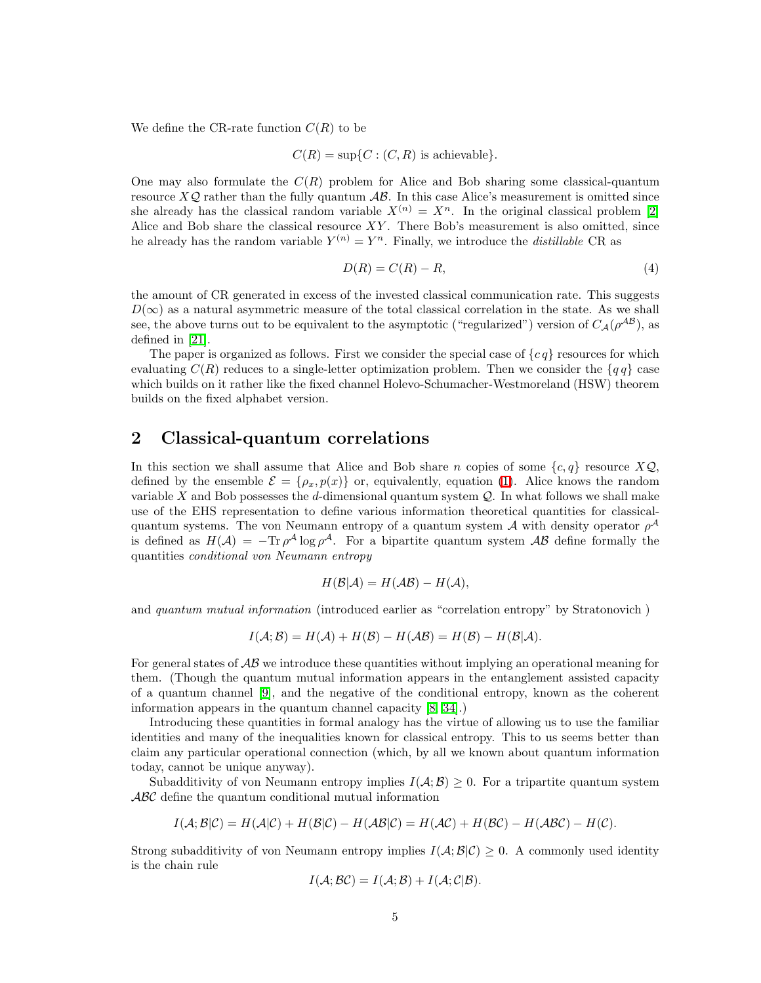We define the CR-rate function  $C(R)$  to be

$$
C(R) = \sup\{C : (C, R) \text{ is achievable}\}.
$$

One may also formulate the  $C(R)$  problem for Alice and Bob sharing some classical-quantum resource  $X\mathcal{Q}$  rather than the fully quantum  $\mathcal{AB}$ . In this case Alice's measurement is omitted since she already has the classical random variable  $X^{(n)} = X^n$ . In the original classical problem [\[2\]](#page-19-1) Alice and Bob share the classical resource  $XY$ . There Bob's measurement is also omitted, since he already has the random variable  $Y^{(n)} = Y^n$ . Finally, we introduce the *distillable* CR as

$$
D(R) = C(R) - R,\t\t(4)
$$

the amount of CR generated in excess of the invested classical communication rate. This suggests  $D(\infty)$  as a natural asymmetric measure of the total classical correlation in the state. As we shall see, the above turns out to be equivalent to the asymptotic ("regularized") version of  $C_A(\rho^{AB})$ , as defined in [\[21\]](#page-20-11).

The paper is organized as follows. First we consider the special case of  ${c q}$  resources for which evaluating  $C(R)$  reduces to a single-letter optimization problem. Then we consider the  $\{qq\}$  case which builds on it rather like the fixed channel Holevo-Schumacher-Westmoreland (HSW) theorem builds on the fixed alphabet version.

#### 2 Classical-quantum correlations

In this section we shall assume that Alice and Bob share n copies of some  $\{c, q\}$  resource  $X\mathcal{Q}$ , defined by the ensemble  $\mathcal{E} = {\rho_x, p(x)}$  or, equivalently, equation [\(1\)](#page-1-0). Alice knows the random variable  $X$  and Bob possesses the d-dimensional quantum system  $Q$ . In what follows we shall make use of the EHS representation to define various information theoretical quantities for classicalquantum systems. The von Neumann entropy of a quantum system  $A$  with density operator  $\rho^A$ is defined as  $H(\mathcal{A}) = -\text{Tr}\rho^{\mathcal{A}}\log\rho^{\mathcal{A}}$ . For a bipartite quantum system  $\mathcal{A}\mathcal{B}$  define formally the quantities *conditional von Neumann entropy*

$$
H(\mathcal{B}|\mathcal{A}) = H(\mathcal{A}\mathcal{B}) - H(\mathcal{A}),
$$

and *quantum mutual information* (introduced earlier as "correlation entropy" by Stratonovich )

$$
I(\mathcal{A}; \mathcal{B}) = H(\mathcal{A}) + H(\mathcal{B}) - H(\mathcal{A}\mathcal{B}) = H(\mathcal{B}) - H(\mathcal{B}|\mathcal{A}).
$$

For general states of  $\mathcal{AB}$  we introduce these quantities without implying an operational meaning for them. (Though the quantum mutual information appears in the entanglement assisted capacity of a quantum channel [\[9\]](#page-20-6), and the negative of the conditional entropy, known as the coherent information appears in the quantum channel capacity [\[8,](#page-20-2) [34\]](#page-21-4).)

Introducing these quantities in formal analogy has the virtue of allowing us to use the familiar identities and many of the inequalities known for classical entropy. This to us seems better than claim any particular operational connection (which, by all we known about quantum information today, cannot be unique anyway).

Subadditivity of von Neumann entropy implies  $I(A; B) \geq 0$ . For a tripartite quantum system ABC define the quantum conditional mutual information

$$
I(\mathcal{A}; \mathcal{B}|\mathcal{C}) = H(\mathcal{A}|\mathcal{C}) + H(\mathcal{B}|\mathcal{C}) - H(\mathcal{A}\mathcal{B}|\mathcal{C}) = H(\mathcal{A}\mathcal{C}) + H(\mathcal{B}\mathcal{C}) - H(\mathcal{A}\mathcal{B}\mathcal{C}) - H(\mathcal{C}).
$$

Strong subadditivity of von Neumann entropy implies  $I(\mathcal{A}; \mathcal{B}|\mathcal{C}) \geq 0$ . A commonly used identity is the chain rule

$$
I(\mathcal{A}; \mathcal{BC}) = I(\mathcal{A}; \mathcal{B}) + I(\mathcal{A}; \mathcal{C} | \mathcal{B}).
$$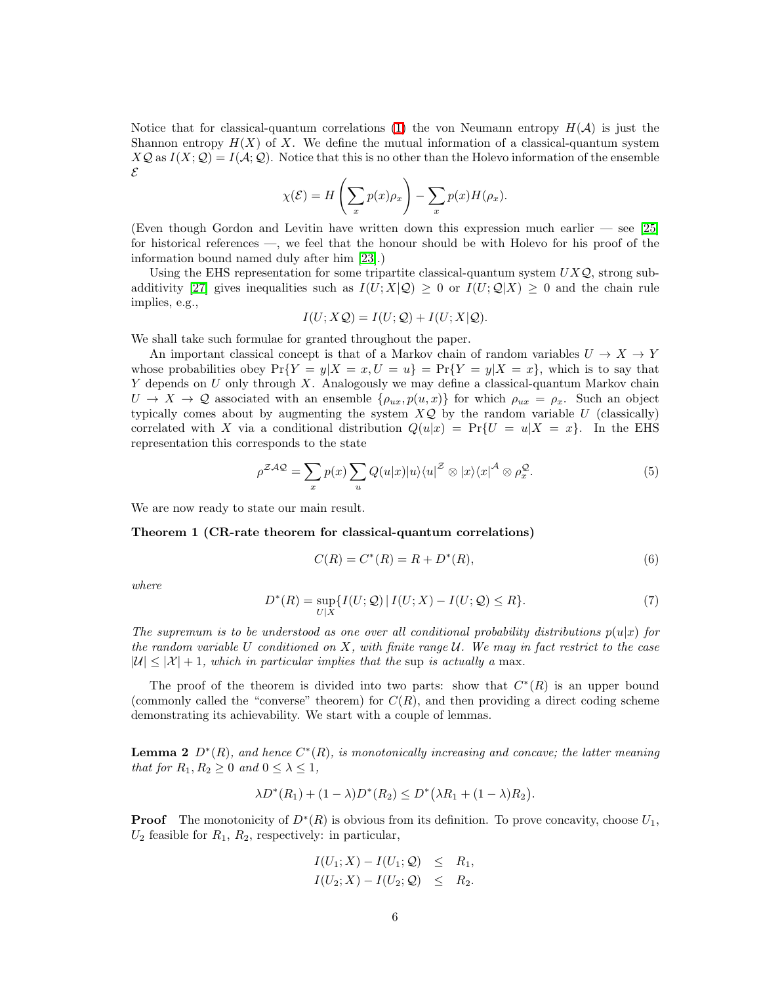Notice that for classical-quantum correlations [\(1\)](#page-1-0) the von Neumann entropy  $H(\mathcal{A})$  is just the Shannon entropy  $H(X)$  of X. We define the mutual information of a classical-quantum system  $X\mathcal{Q}$  as  $I(X;\mathcal{Q})=I(\mathcal{A};\mathcal{Q})$ . Notice that this is no other than the Holevo information of the ensemble E

$$
\chi(\mathcal{E}) = H\left(\sum_{x} p(x)\rho_x\right) - \sum_{x} p(x)H(\rho_x).
$$

(Even though Gordon and Levitin have written down this expression much earlier — see [\[25\]](#page-21-7) for historical references —, we feel that the honour should be with Holevo for his proof of the information bound named duly after him [\[23\]](#page-21-8).)

Using the EHS representation for some tripartite classical-quantum system  $UXQ$ , strong sub-additivity [\[27\]](#page-21-9) gives inequalities such as  $I(U; X|Q) \geq 0$  or  $I(U; Q|X) \geq 0$  and the chain rule implies, e.g.,

$$
I(U; X \mathcal{Q}) = I(U; \mathcal{Q}) + I(U; X | \mathcal{Q}).
$$

We shall take such formulae for granted throughout the paper.

An important classical concept is that of a Markov chain of random variables  $U \to X \to Y$ whose probabilities obey  $Pr{Y = y|X = x, U = u} = Pr{Y = y|X = x}$ , which is to say that  $Y$  depends on  $U$  only through  $X$ . Analogously we may define a classical-quantum Markov chain  $U \to X \to \mathcal{Q}$  associated with an ensemble  $\{\rho_{ux}, p(u, x)\}\$ for which  $\rho_{ux} = \rho_x$ . Such an object typically comes about by augmenting the system  $X\mathcal{Q}$  by the random variable U (classically) correlated with X via a conditional distribution  $Q(u|x) = Pr{U = u|X = x}$ . In the EHS representation this corresponds to the state

<span id="page-5-2"></span>
$$
\rho^{\mathcal{ZAQ}} = \sum_{x} p(x) \sum_{u} Q(u|x) |u\rangle\langle u|^{\mathcal{Z}} \otimes |x\rangle\langle x|^{\mathcal{A}} \otimes \rho_x^{\mathcal{Q}}.\tag{5}
$$

We are now ready to state our main result.

Theorem 1 (CR-rate theorem for classical-quantum correlations)

$$
C(R) = C^*(R) = R + D^*(R),
$$
\n(6)

<span id="page-5-1"></span>*where*

$$
D^*(R) = \sup_{U|X} \{ I(U; \mathcal{Q}) \mid I(U; X) - I(U; \mathcal{Q}) \le R \}.
$$
 (7)

*The supremum is to be understood as one over all conditional probability distributions*  $p(u|x)$  *for the random variable* U *conditioned on* X*, with finite range* U*. We may in fact restrict to the case*  $|U| < |\mathcal{X}| + 1$ , which in particular implies that the sup is actually a max.

The proof of the theorem is divided into two parts: show that  $C^*(R)$  is an upper bound (commonly called the "converse" theorem) for  $C(R)$ , and then providing a direct coding scheme demonstrating its achievability. We start with a couple of lemmas.

<span id="page-5-0"></span>**Lemma 2**  $D^*(R)$ , and hence  $C^*(R)$ , is monotonically increasing and concave; the latter meaning *that for*  $R_1, R_2 \geq 0$  *and*  $0 \leq \lambda \leq 1$ *,* 

$$
\lambda D^*(R_1) + (1 - \lambda)D^*(R_2) \le D^*(\lambda R_1 + (1 - \lambda)R_2).
$$

**Proof** The monotonicity of  $D^*(R)$  is obvious from its definition. To prove concavity, choose  $U_1$ ,  $U_2$  feasible for  $R_1, R_2$ , respectively: in particular,

$$
I(U_1; X) - I(U_1; \mathcal{Q}) \leq R_1,
$$
  

$$
I(U_2; X) - I(U_2; \mathcal{Q}) \leq R_2.
$$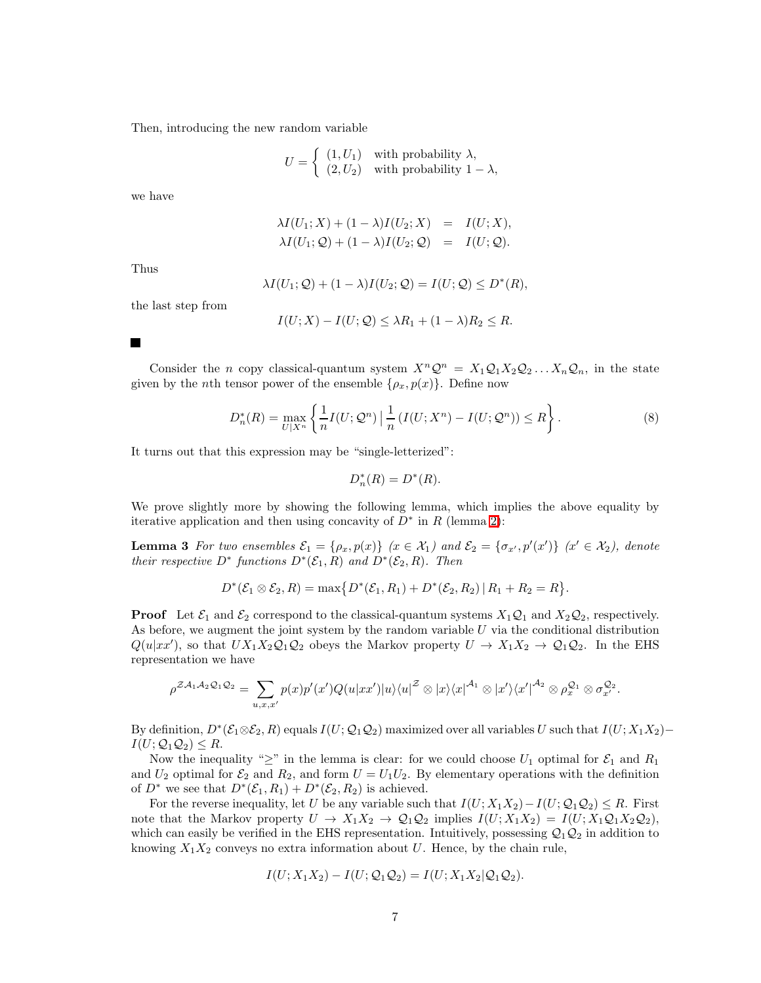Then, introducing the new random variable

$$
U = \begin{cases} (1, U_1) & \text{with probability } \lambda, \\ (2, U_2) & \text{with probability } 1 - \lambda, \end{cases}
$$

we have

$$
\lambda I(U_1; X) + (1 - \lambda)I(U_2; X) = I(U; X),
$$
  

$$
\lambda I(U_1; Q) + (1 - \lambda)I(U_2; Q) = I(U; Q).
$$

Thus

$$
\lambda I(U_1; \mathcal{Q}) + (1 - \lambda)I(U_2; \mathcal{Q}) = I(U; \mathcal{Q}) \le D^*(R),
$$

the last step from

$$
I(U;X) - I(U;Q) \leq \lambda R_1 + (1-\lambda)R_2 \leq R.
$$

**The Second Service** 

Consider the n copy classical-quantum system  $X^n\mathcal{Q}^n = X_1\mathcal{Q}_1X_2\mathcal{Q}_2\ldots X_n\mathcal{Q}_n$ , in the state given by the *n*th tensor power of the ensemble  $\{\rho_x, p(x)\}\$ . Define now

$$
D_n^*(R) = \max_{U|X^n} \left\{ \frac{1}{n} I(U; \mathcal{Q}^n) \, \Big| \, \frac{1}{n} \left( I(U; X^n) - I(U; \mathcal{Q}^n) \right) \le R \right\}.
$$
 (8)

It turns out that this expression may be "single-letterized":

<span id="page-6-0"></span>
$$
D_n^*(R) = D^*(R).
$$

We prove slightly more by showing the following lemma, which implies the above equality by iterative application and then using concavity of  $D^*$  in R (lemma [2\)](#page-5-0):

**Lemma 3** For two ensembles  $\mathcal{E}_1 = \{\rho_x, p(x)\}$   $(x \in \mathcal{X}_1)$  and  $\mathcal{E}_2 = \{\sigma_{x'}, p'(x')\}$   $(x' \in \mathcal{X}_2)$ , denote *their respective*  $D^*$  *functions*  $D^*(\mathcal{E}_1, R)$  *and*  $D^*(\mathcal{E}_2, R)$ *. Then* 

$$
D^*(\mathcal{E}_1 \otimes \mathcal{E}_2, R) = \max \{ D^*(\mathcal{E}_1, R_1) + D^*(\mathcal{E}_2, R_2) | R_1 + R_2 = R \}.
$$

**Proof** Let  $\mathcal{E}_1$  and  $\mathcal{E}_2$  correspond to the classical-quantum systems  $X_1\mathcal{Q}_1$  and  $X_2\mathcal{Q}_2$ , respectively. As before, we augment the joint system by the random variable  $U$  via the conditional distribution  $Q(u|x x')$ , so that  $UX_1X_2Q_1Q_2$  obeys the Markov property  $U \to X_1X_2 \to Q_1Q_2$ . In the EHS representation we have

$$
\rho^{\mathcal{Z}A_1A_2\mathcal{Q}_1\mathcal{Q}_2} = \sum_{u,x,x'} p(x)p'(x')Q(u|xx')|u\rangle\langle u|^{\mathcal{Z}} \otimes |x\rangle\langle x|^{A_1} \otimes |x'\rangle\langle x'|^{A_2} \otimes \rho_x^{\mathcal{Q}_1} \otimes \sigma_{x'}^{\mathcal{Q}_2}.
$$

By definition,  $D^*(\mathcal{E}_1\otimes \mathcal{E}_2,R)$  equals  $I(U;\mathcal{Q}_1\mathcal{Q}_2)$  maximized over all variables  $U$  such that  $I(U;X_1X_2) I(U; Q_1Q_2) \leq R$ .

Now the inequality " $\geq$ " in the lemma is clear: for we could choose  $U_1$  optimal for  $\mathcal{E}_1$  and  $R_1$ and  $U_2$  optimal for  $\mathcal{E}_2$  and  $R_2$ , and form  $U = U_1 U_2$ . By elementary operations with the definition of  $D^*$  we see that  $D^*(\mathcal{E}_1, R_1) + D^*(\mathcal{E}_2, R_2)$  is achieved.

For the reverse inequality, let U be any variable such that  $I(U; X_1X_2) - I(U; \mathcal{Q}_1\mathcal{Q}_2) \leq R$ . First note that the Markov property  $U \to X_1 X_2 \to \mathcal{Q}_1 \mathcal{Q}_2$  implies  $I(U; X_1 X_2) = I(U; X_1 \mathcal{Q}_1 X_2 \mathcal{Q}_2)$ , which can easily be verified in the EHS representation. Intuitively, possessing  $Q_1Q_2$  in addition to knowing  $X_1X_2$  conveys no extra information about U. Hence, by the chain rule,

$$
I(U; X_1X_2) - I(U; \mathcal{Q}_1\mathcal{Q}_2) = I(U; X_1X_2|\mathcal{Q}_1\mathcal{Q}_2).
$$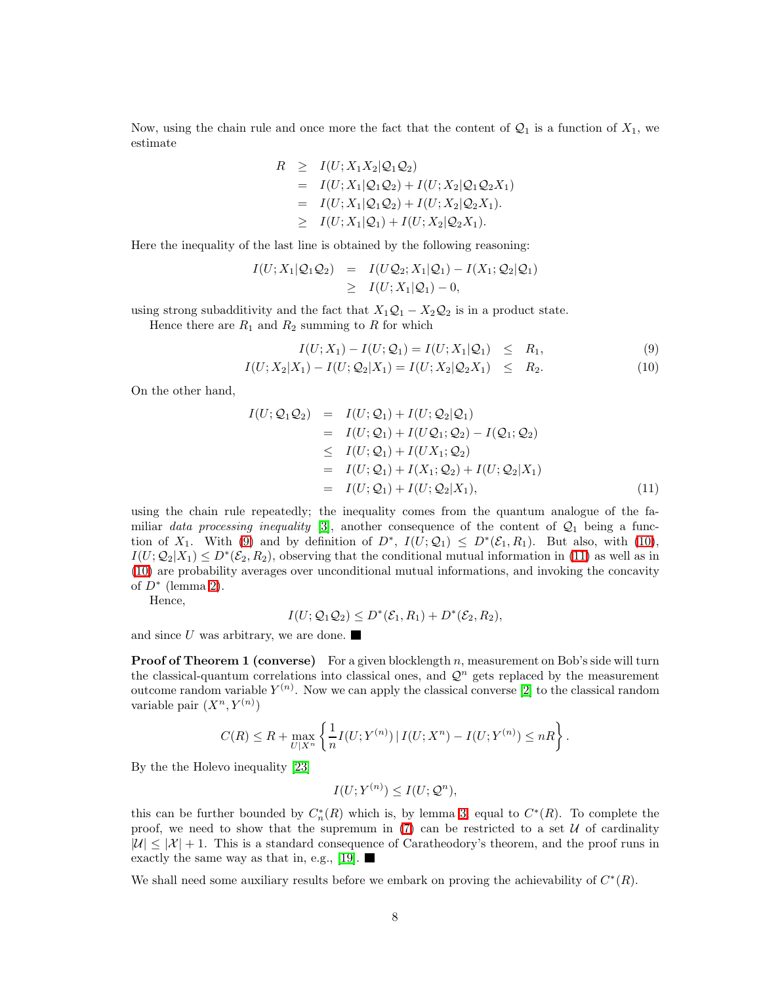Now, using the chain rule and once more the fact that the content of  $\mathcal{Q}_1$  is a function of  $X_1$ , we estimate

$$
R \geq I(U; X_1 X_2 | \mathcal{Q}_1 \mathcal{Q}_2)
$$
  
=  $I(U; X_1 | \mathcal{Q}_1 \mathcal{Q}_2) + I(U; X_2 | \mathcal{Q}_1 \mathcal{Q}_2 X_1)$   
=  $I(U; X_1 | \mathcal{Q}_1 \mathcal{Q}_2) + I(U; X_2 | \mathcal{Q}_2 X_1).$   
 $\geq I(U; X_1 | \mathcal{Q}_1) + I(U; X_2 | \mathcal{Q}_2 X_1).$ 

Here the inequality of the last line is obtained by the following reasoning:

$$
I(U; X_1 | \mathcal{Q}_1 \mathcal{Q}_2) = I(U\mathcal{Q}_2; X_1 | \mathcal{Q}_1) - I(X_1; \mathcal{Q}_2 | \mathcal{Q}_1)
$$
  
\n
$$
\geq I(U; X_1 | \mathcal{Q}_1) - 0,
$$

using strong subadditivity and the fact that  $X_1Q_1 - X_2Q_2$  is in a product state.

Hence there are  $R_1$  and  $R_2$  summing to R for which

$$
I(U; X_1) - I(U; \mathcal{Q}_1) = I(U; X_1 | \mathcal{Q}_1) \le R_1,
$$
\n(9)

<span id="page-7-0"></span>
$$
I(U; X_2 | X_1) - I(U; Q_2 | X_1) = I(U; X_2 | Q_2 X_1) \le R_2.
$$
\n
$$
(10)
$$

<span id="page-7-1"></span>On the other hand,

$$
I(U; Q_1Q_2) = I(U; Q_1) + I(U; Q_2|Q_1)
$$
  
=  $I(U; Q_1) + I(UQ_1; Q_2) - I(Q_1; Q_2)$   
 $\leq I(U; Q_1) + I(UX_1; Q_2)$   
=  $I(U; Q_1) + I(X_1; Q_2) + I(U; Q_2|X_1)$   
=  $I(U; Q_1) + I(U; Q_2|X_1)$ , (11)

using the chain rule repeatedly; the inequality comes from the quantum analogue of the familiar *data processing inequality* [\[3\]](#page-19-2), another consequence of the content of  $\mathcal{Q}_1$  being a function of  $X_1$ . With [\(9\)](#page-7-0) and by definition of  $D^*$ ,  $I(U; \mathcal{Q}_1) \leq D^*(\mathcal{E}_1, R_1)$ . But also, with [\(10\)](#page-7-0),  $I(U; \mathcal{Q}_2|X_1) \leq D^*(\mathcal{E}_2, R_2)$ , observing that the conditional mutual information in [\(11\)](#page-7-1) as well as in [\(10\)](#page-7-0) are probability averages over unconditional mutual informations, and invoking the concavity of  $D^*$  (lemma [2\)](#page-5-0).

Hence,

$$
I(U; \mathcal{Q}_1 \mathcal{Q}_2) \leq D^*(\mathcal{E}_1, R_1) + D^*(\mathcal{E}_2, R_2),
$$

and since  $U$  was arbitrary, we are done.

**Proof of Theorem 1 (converse)** For a given blocklength n, measurement on Bob's side will turn the classical-quantum correlations into classical ones, and  $\mathcal{Q}^n$  gets replaced by the measurement outcome random variable  $Y^{(n)}$ . Now we can apply the classical converse [\[2\]](#page-19-1) to the classical random variable pair  $(X^n, Y^{(n)})$ 

$$
C(R) \le R + \max_{U|X^n} \left\{ \frac{1}{n} I(U;Y^{(n)}) \, | \, I(U;X^n) - I(U;Y^{(n)}) \le nR \right\}.
$$

By the the Holevo inequality [\[23\]](#page-21-8)

$$
I(U;Y^{(n)}) \leq I(U;Q^n),
$$

this can be further bounded by  $C_n^*(R)$  which is, by lemma [3,](#page-6-0) equal to  $C^*(R)$ . To complete the proof, we need to show that the supremum in  $(7)$  can be restricted to a set U of cardinality  $|U| \leq |X| + 1$ . This is a standard consequence of Caratheodory's theorem, and the proof runs in exactly the same way as that in, e.g., [\[19\]](#page-20-9).  $\blacksquare$ 

<span id="page-7-2"></span>We shall need some auxiliary results before we embark on proving the achievability of  $C^*(R)$ .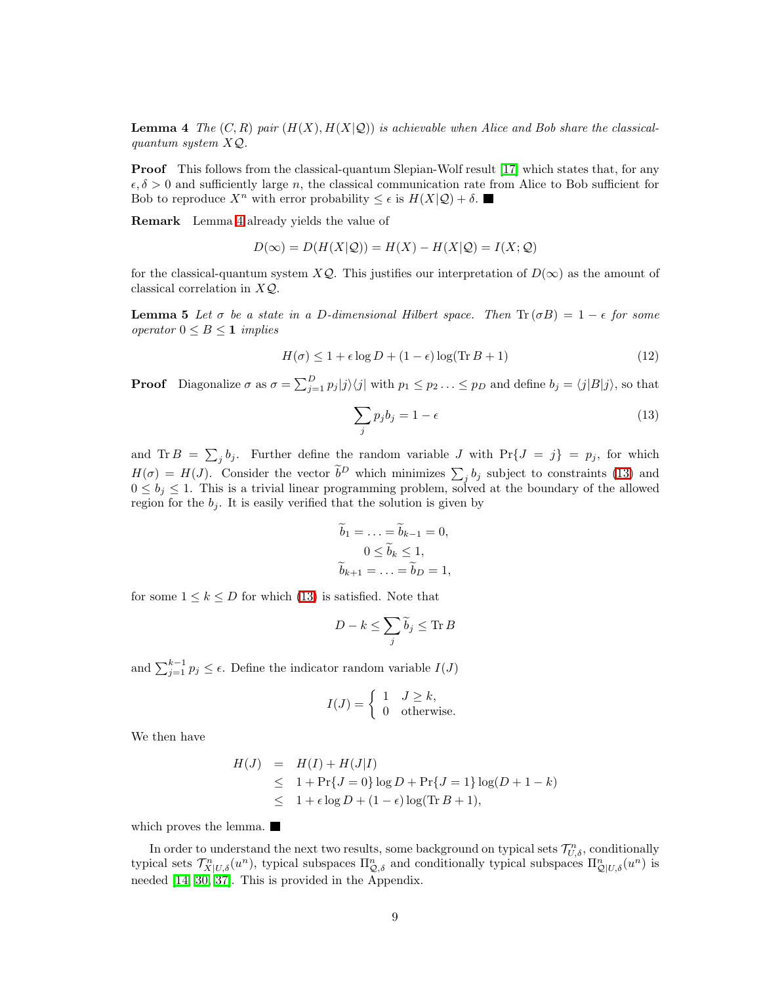**Lemma 4** The  $(C, R)$  pair  $(H(X), H(X|Q))$  is achievable when Alice and Bob share the classical*quantum system* XQ*.*

**Proof** This follows from the classical-quantum Slepian-Wolf result [\[17\]](#page-20-10) which states that, for any  $\epsilon, \delta > 0$  and sufficiently large n, the classical communication rate from Alice to Bob sufficient for Bob to reproduce  $X^n$  with error probability  $\leq \epsilon$  is  $H(X|\mathcal{Q}) + \delta$ .

Remark Lemma [4](#page-7-2) already yields the value of

$$
D(\infty) = D(H(X|\mathcal{Q})) = H(X) - H(X|\mathcal{Q}) = I(X; \mathcal{Q})
$$

<span id="page-8-1"></span>for the classical-quantum system  $X\mathcal{Q}$ . This justifies our interpretation of  $D(\infty)$  as the amount of classical correlation in  $XQ$ .

**Lemma 5** Let  $\sigma$  be a state in a D-dimensional Hilbert space. Then  $\text{Tr}(\sigma B) = 1 - \epsilon$  for some *operator* 0 ≤ B ≤ 1 *implies*

<span id="page-8-0"></span>
$$
H(\sigma) \le 1 + \epsilon \log D + (1 - \epsilon) \log(\text{Tr} B + 1)
$$
\n(12)

**Proof** Diagonalize  $\sigma$  as  $\sigma = \sum_{j=1}^{D} p_j |j\rangle\langle j|$  with  $p_1 \leq p_2 \ldots \leq p_D$  and define  $b_j = \langle j|B|j\rangle$ , so that

$$
\sum_{j} p_j b_j = 1 - \epsilon \tag{13}
$$

and Tr  $B = \sum_j b_j$ . Further define the random variable J with  $\Pr\{J = j\} = p_j$ , for which  $H(\sigma) = H(J)$ . Consider the vector  $\tilde{b}^D$  which minimizes  $\sum_j b_j$  subject to constraints [\(13\)](#page-8-0) and  $0 \leq b_j \leq 1$ . This is a trivial linear programming problem, solved at the boundary of the allowed region for the  $b_j$ . It is easily verified that the solution is given by

$$
b_1 = \dots = b_{k-1} = 0,
$$
  
\n
$$
0 \le \widetilde{b}_k \le 1,
$$
  
\n
$$
\widetilde{b}_{k+1} = \dots = \widetilde{b}_D = 1,
$$

for some  $1 \leq k \leq D$  for which [\(13\)](#page-8-0) is satisfied. Note that

$$
D - k \le \sum_j \widetilde{b}_j \le \text{Tr } B
$$

and  $\sum_{j=1}^{k-1} p_j \leq \epsilon$ . Define the indicator random variable  $I(J)$ 

$$
I(J) = \begin{cases} 1 & J \ge k, \\ 0 & \text{otherwise.} \end{cases}
$$

We then have

$$
H(J) = H(I) + H(J|I)
$$
  
\n
$$
\leq 1 + \Pr\{J = 0\} \log D + \Pr\{J = 1\} \log(D + 1 - k)
$$
  
\n
$$
\leq 1 + \epsilon \log D + (1 - \epsilon) \log(\text{Tr } B + 1),
$$

which proves the lemma.

<span id="page-8-2"></span>In order to understand the next two results, some background on typical sets  $\mathcal{T}_{U,\delta}^n$ , conditionally typical sets  $\mathcal{T}_{X|U,\delta}^n(u^n)$ , typical subspaces  $\Pi_{\mathcal{Q},\delta}^n$  and conditionally typical subspaces  $\Pi_{\mathcal{Q}|U,\delta}^n(u^n)$  is needed [\[14,](#page-20-13) [30,](#page-21-1) [37\]](#page-22-0). This is provided in the Appendix.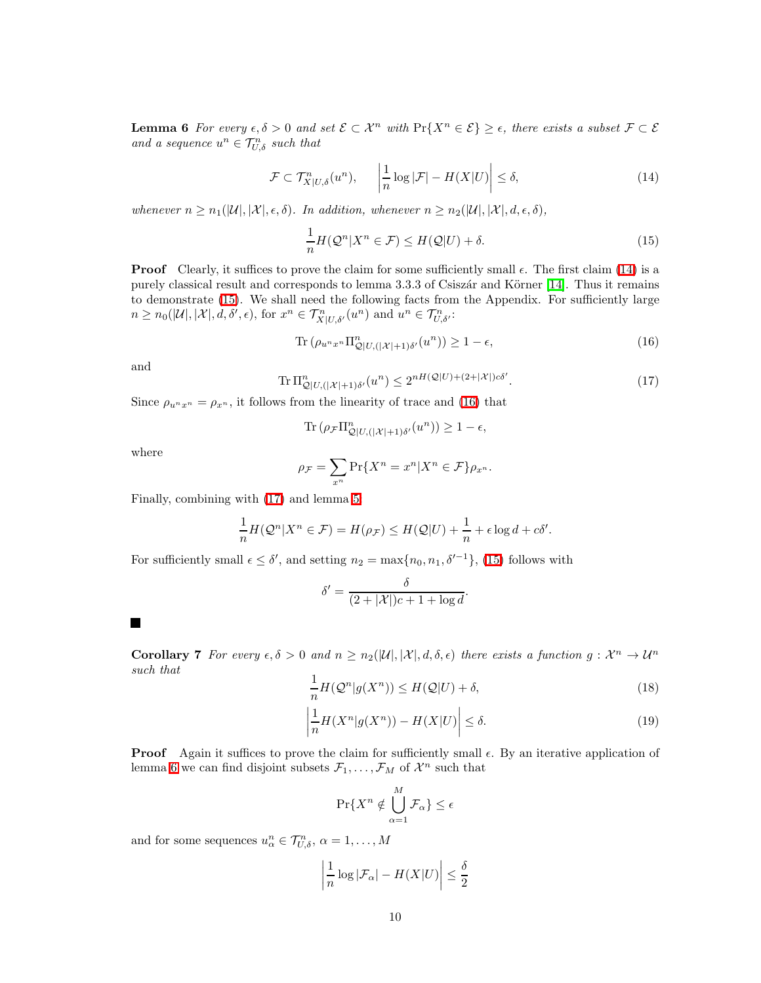<span id="page-9-0"></span>**Lemma 6** *For every*  $\epsilon, \delta > 0$  *and set*  $\mathcal{E} \subset \mathcal{X}^n$  *with*  $\Pr\{X^n \in \mathcal{E}\} \geq \epsilon$ , *there exists a subset*  $\mathcal{F} \subset \mathcal{E}$ and a sequence  $u^n \in \mathcal{T}_{U,\delta}^n$  such that

<span id="page-9-1"></span>
$$
\mathcal{F} \subset \mathcal{T}_{X|U,\delta}^n(u^n), \quad \left| \frac{1}{n} \log |\mathcal{F}| - H(X|U) \right| \le \delta, \tag{14}
$$

*whenever*  $n \geq n_1(|\mathcal{U}|, |\mathcal{X}|, \epsilon, \delta)$ *. In addition, whenever*  $n \geq n_2(|\mathcal{U}|, |\mathcal{X}|, d, \epsilon, \delta)$ *,* 

$$
\frac{1}{n}H(Q^n|X^n \in \mathcal{F}) \le H(Q|U) + \delta.
$$
\n(15)

**Proof** Clearly, it suffices to prove the claim for some sufficiently small  $\epsilon$ . The first claim [\(14\)](#page-9-0) is a purely classical result and corresponds to lemma 3.3.3 of Csiszár and Körner [\[14\]](#page-20-13). Thus it remains to demonstrate [\(15\)](#page-9-1). We shall need the following facts from the Appendix. For sufficiently large  $n \geq n_0(|\mathcal{U}|, |\mathcal{X}|, d, \delta', \epsilon)$ , for  $x^n \in \mathcal{T}_{X|U, \delta'}^n(u^n)$  and  $u^n \in \mathcal{T}_{U, \delta'}^n$ :

$$
\operatorname{Tr}\left(\rho_{u^n x^n} \Pi_{\mathcal{Q}|U, (|\mathcal{X}|+1)\delta'}^{n}(u^n)\right) \ge 1 - \epsilon,\tag{16}
$$

<span id="page-9-3"></span>and

<span id="page-9-2"></span>
$$
\operatorname{Tr} \Pi_{\mathcal{Q}|U, (|\mathcal{X}|+1)\delta'}^{n}(u^{n}) \leq 2^{nH(\mathcal{Q}|U)+(2+|\mathcal{X}|)c\delta'}.
$$
\n(17)

Since  $\rho_{u^n x^n} = \rho_{x^n}$ , it follows from the linearity of trace and [\(16\)](#page-9-2) that

$$
\operatorname{Tr}\left(\rho_{\mathcal{F}} \Pi_{\mathcal{Q}|U, (|\mathcal{X}|+1)\delta'}^{n}(u^{n})\right) \geq 1 - \epsilon,
$$

where

$$
\rho_{\mathcal{F}} = \sum_{x^n} \Pr\{X^n = x^n | X^n \in \mathcal{F}\} \rho_{x^n}.
$$

Finally, combining with [\(17\)](#page-9-3) and lemma [5:](#page-8-1)

$$
\frac{1}{n}H(Q^n|X^n \in \mathcal{F}) = H(\rho_{\mathcal{F}}) \leq H(Q|U) + \frac{1}{n} + \epsilon \log d + c\delta'.
$$

For sufficiently small  $\epsilon \leq \delta'$ , and setting  $n_2 = \max\{n_0, n_1, \delta'^{-1}\},$  [\(15\)](#page-9-1) follows with

$$
\delta' = \frac{\delta}{(2+|\mathcal{X}|)c+1+\log d}.
$$

**Corollary 7** For every  $\epsilon, \delta > 0$  and  $n \ge n_2(|\mathcal{U}|, |\mathcal{X}|, d, \delta, \epsilon)$  there exists a function  $g: \mathcal{X}^n \to \mathcal{U}^n$ *such that*

<span id="page-9-5"></span>
$$
\frac{1}{n}H(Q^n|g(X^n)) \le H(Q|U) + \delta,\tag{18}
$$

<span id="page-9-4"></span>
$$
\left| \frac{1}{n} H(X^n | g(X^n)) - H(X | U) \right| \le \delta. \tag{19}
$$

**Proof** Again it suffices to prove the claim for sufficiently small  $\epsilon$ . By an iterative application of lemma [6](#page-8-2) we can find disjoint subsets  $\mathcal{F}_1, \ldots, \mathcal{F}_M$  of  $\mathcal{X}^n$  such that

$$
\Pr\{X^n \notin \bigcup_{\alpha=1}^M \mathcal{F}_\alpha\} \le \epsilon
$$

and for some sequences  $u_{\alpha}^{n} \in \mathcal{T}_{U,\delta}^{n}$ ,  $\alpha = 1, \ldots, M$ 

$$
\left|\frac{1}{n}\log|\mathcal{F}_\alpha|-H(X|U)\right|\leq \frac{\delta}{2}
$$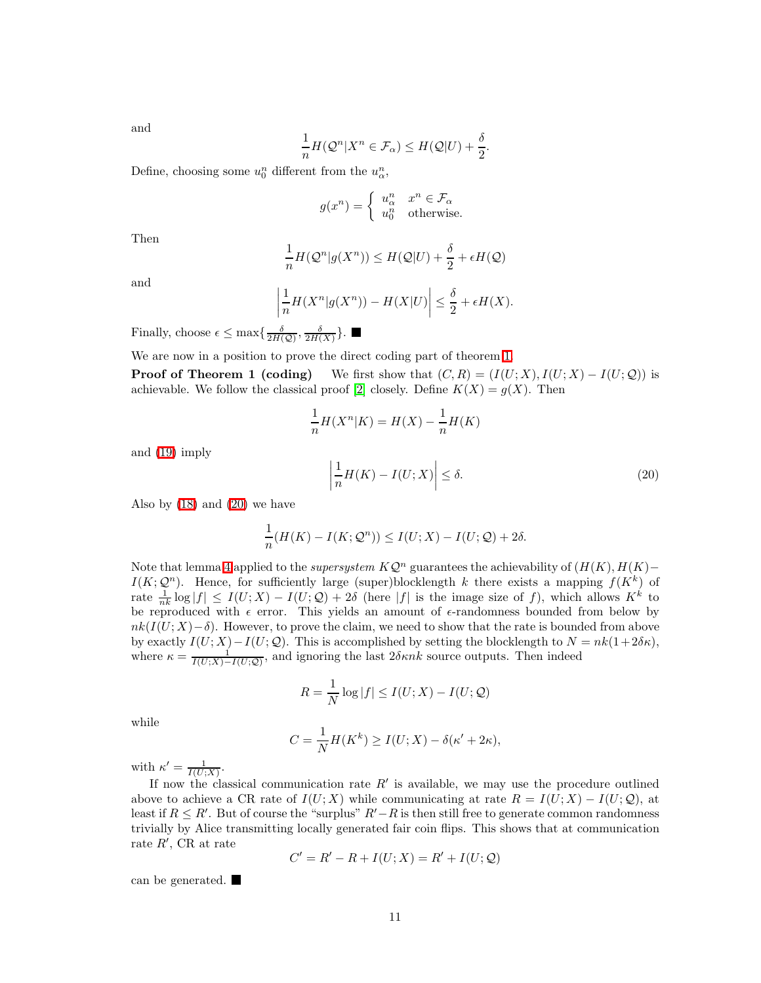and

$$
\frac{1}{n}H(\mathcal{Q}^n|X^n\in\mathcal{F}_\alpha)\leq H(\mathcal{Q}|U)+\frac{\delta}{2}
$$

Define, choosing some  $u_0^n$  different from the  $u_\alpha^n$ ,

$$
g(x^n) = \begin{cases} u^n_{\alpha} & x^n \in \mathcal{F}_{\alpha} \\ u^n_0 & \text{otherwise.} \end{cases}
$$

Then

$$
\frac{1}{n}H(\mathcal{Q}^n|g(X^n))\leq H(\mathcal{Q}|U)+\frac{\delta}{2}+\epsilon H(\mathcal{Q})
$$

and

$$
\left|\frac{1}{n}H(X^n|g(X^n)) - H(X|U)\right| \le \frac{\delta}{2} + \epsilon H(X).
$$

Finally, choose  $\epsilon \leq \max\{\frac{\delta}{2H(Q)}, \frac{\delta}{2H(X)}\}.$ 

We are now in a position to prove the direct coding part of theorem [1.](#page-5-2)

**Proof of Theorem 1 (coding)** We first show that  $(C, R) = (I(U; X), I(U; X) - I(U; Q))$  is achievable. We follow the classical proof [\[2\]](#page-19-1) closely. Define  $K(X) = g(X)$ . Then

$$
\frac{1}{n}H(X^n|K) = H(X) - \frac{1}{n}H(K)
$$
\n
$$
\left|\frac{1}{n}H(K) - I(U;X)\right| \le \delta. \tag{20}
$$

.

and [\(19\)](#page-9-4) imply

Also by  $(18)$  and  $(20)$  we have

<span id="page-10-0"></span>
$$
\frac{1}{n}(H(K) - I(K; \mathcal{Q}^n)) \le I(U; X) - I(U; \mathcal{Q}) + 2\delta.
$$

Note that lemma [4](#page-7-2) applied to the *supersystem*  $K\mathcal{Q}^n$  guarantees the achievability of  $(H(K), H(K)$ −  $I(K; \mathcal{Q}^n)$ . Hence, for sufficiently large (super)blocklength k there exists a mapping  $f(K^k)$  of rate  $\frac{1}{nk} \log |f| \leq I(U;X) - I(U;Q) + 2\delta$  (here |f| is the image size of f), which allows  $K^k$  to be reproduced with  $\epsilon$  error. This yields an amount of  $\epsilon$ -randomness bounded from below by  $nk(I(U; X)-\delta)$ . However, to prove the claim, we need to show that the rate is bounded from above by exactly  $I(U; X) - I(U; \mathcal{Q})$ . This is accomplished by setting the blocklength to  $N = nk(1 + 2\delta\kappa)$ , where  $\kappa = \frac{1}{I(U;X) - I(U;Q)}$ , and ignoring the last  $2\delta \kappa n k$  source outputs. Then indeed

$$
R = \frac{1}{N} \log |f| \le I(U;X) - I(U;Q)
$$

while

$$
C = \frac{1}{N}H(K^{k}) \ge I(U;X) - \delta(\kappa' + 2\kappa),
$$

with  $\kappa' = \frac{1}{I(U;X)}$ .

If now the classical communication rate R′ is available, we may use the procedure outlined above to achieve a CR rate of  $I(U;X)$  while communicating at rate  $R = I(U;X) - I(U;Q)$ , at least if  $R \leq R'$ . But of course the "surplus"  $R'-R$  is then still free to generate common randomness trivially by Alice transmitting locally generated fair coin flips. This shows that at communication rate R′ , CR at rate

$$
C' = R' - R + I(U;X) = R' + I(U;Q)
$$

can be generated.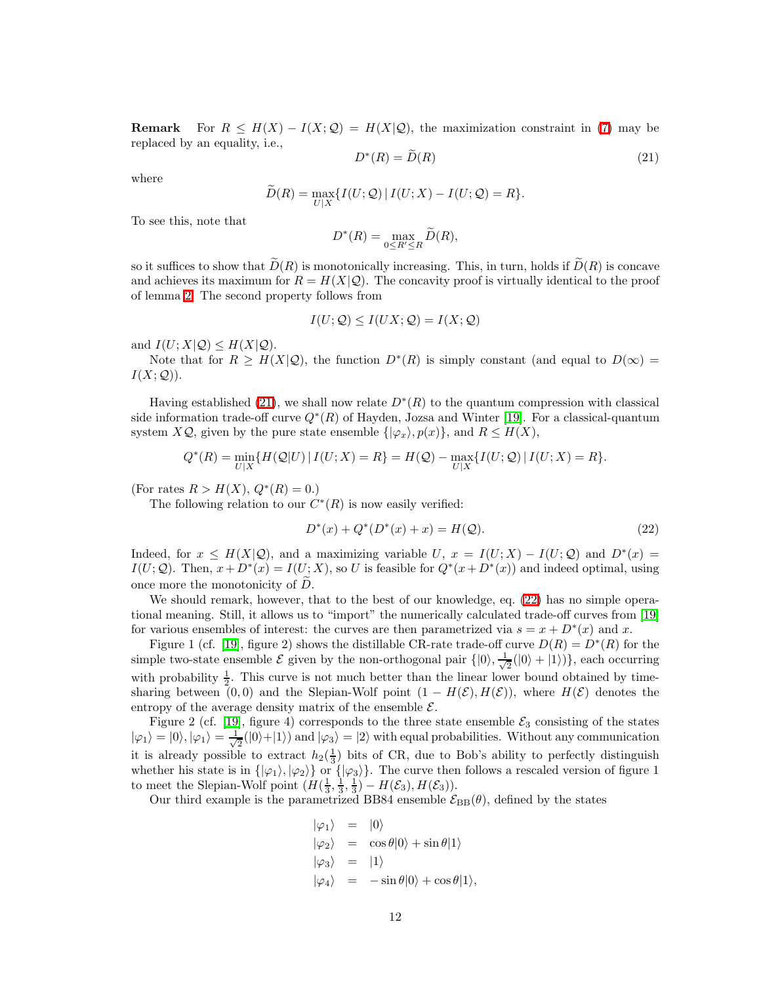**Remark** For  $R \leq H(X) - I(X; Q) = H(X|Q)$ , the maximization constraint in [\(7\)](#page-5-1) may be replaced by an equality, i.e.,

$$
D^*(R) = D(R) \tag{21}
$$

where

<span id="page-11-0"></span>
$$
\widetilde{D}(R) = \max_{U|X} \{ I(U; \mathcal{Q}) \mid I(U; X) - I(U; \mathcal{Q}) = R \}.
$$

To see this, note that

$$
D^*(R) = \max_{0 \le R' \le R} \widetilde{D}(R),
$$

so it suffices to show that  $\widetilde{D}(R)$  is monotonically increasing. This, in turn, holds if  $\widetilde{D}(R)$  is concave and achieves its maximum for  $R = H(X|\mathcal{Q})$ . The concavity proof is virtually identical to the proof of lemma [2.](#page-5-0) The second property follows from

$$
I(U; \mathcal{Q}) \le I(UX; \mathcal{Q}) = I(X; \mathcal{Q})
$$

and  $I(U; X | \mathcal{Q}) \leq H(X | \mathcal{Q})$ .

Note that for  $R \ge H(X|\mathcal{Q})$ , the function  $D^*(R)$  is simply constant (and equal to  $D(\infty)$ )  $I(X; \mathcal{Q})$ ).

Having established [\(21\)](#page-11-0), we shall now relate  $D^*(R)$  to the quantum compression with classical side information trade-off curve  $Q^*(R)$  of Hayden, Jozsa and Winter [\[19\]](#page-20-9). For a classical-quantum system  $X\mathcal{Q}$ , given by the pure state ensemble  $\{|\varphi_x\rangle, p(x)\}$ , and  $R \leq H(X)$ ,

<span id="page-11-1"></span>
$$
Q^*(R) = \min_{U|X} \{ H(Q|U) | I(U;X) = R \} = H(Q) - \max_{U|X} \{ I(U;Q) | I(U;X) = R \}.
$$

(For rates  $R > H(X), Q^*(R) = 0.$ )

The following relation to our  $C^*(R)$  is now easily verified:

$$
D^*(x) + Q^*(D^*(x) + x) = H(Q).
$$
\n(22)

Indeed, for  $x \leq H(X|\mathcal{Q})$ , and a maximizing variable U,  $x = I(U;X) - I(U;\mathcal{Q})$  and  $D^*(x) =$  $I(U; \mathcal{Q})$ . Then,  $x + D^*(x) = I(U; X)$ , so U is feasible for  $Q^*(x + D^*(x))$  and indeed optimal, using once more the monotonicity of  $D$ .

We should remark, however, that to the best of our knowledge, eq. [\(22\)](#page-11-1) has no simple operational meaning. Still, it allows us to "import" the numerically calculated trade-off curves from [\[19\]](#page-20-9) for various ensembles of interest: the curves are then parametrized via  $s = x + D^*(x)$  and x.

Figure 1 (cf. [\[19\]](#page-20-9), figure 2) shows the distillable CR-rate trade-off curve  $D(R) = D^*(R)$  for the simple two-state ensemble  $\mathcal E$  given by the non-orthogonal pair  $\{|0\rangle, \frac{1}{\sqrt{\lambda}}\}$  $\frac{1}{2}(|0\rangle + |1\rangle)$ , each occurring with probability  $\frac{1}{2}$ . This curve is not much better than the linear lower bound obtained by timesharing between (0,0) and the Slepian-Wolf point  $(1 - H(\mathcal{E}), H(\mathcal{E}))$ , where  $H(\mathcal{E})$  denotes the entropy of the average density matrix of the ensemble  $\mathcal{E}$ .

Figure 2 (cf. [\[19\]](#page-20-9), figure 4) corresponds to the three state ensemble  $\mathcal{E}_3$  consisting of the states  $|\varphi_1\rangle = |0\rangle, |\varphi_1\rangle = \frac{1}{\sqrt{2}}$  $\frac{1}{2}(|0\rangle+|1\rangle)$  and  $|\varphi_3\rangle=|2\rangle$  with equal probabilities. Without any communication it is already possible to extract  $h_2(\frac{1}{3})$  bits of CR, due to Bob's ability to perfectly distinguish whether his state is in  $\{\ket{\varphi_1}, \ket{\varphi_2}\}$  or  $\{\ket{\varphi_3}\}$ . The curve then follows a rescaled version of figure 1 to meet the Slepian-Wolf point  $(H(\frac{1}{3}, \frac{1}{3}, \frac{1}{3}) - H(\mathcal{E}_3), H(\mathcal{E}_3)).$ 

Our third example is the parametrized BB84 ensemble  $\mathcal{E}_{\text{BB}}(\theta)$ , defined by the states

$$
\begin{aligned}\n|\varphi_1\rangle &= |0\rangle \\
|\varphi_2\rangle &= \cos \theta |0\rangle + \sin \theta |1\rangle \\
|\varphi_3\rangle &= |1\rangle \\
|\varphi_4\rangle &= -\sin \theta |0\rangle + \cos \theta |1\rangle,\n\end{aligned}
$$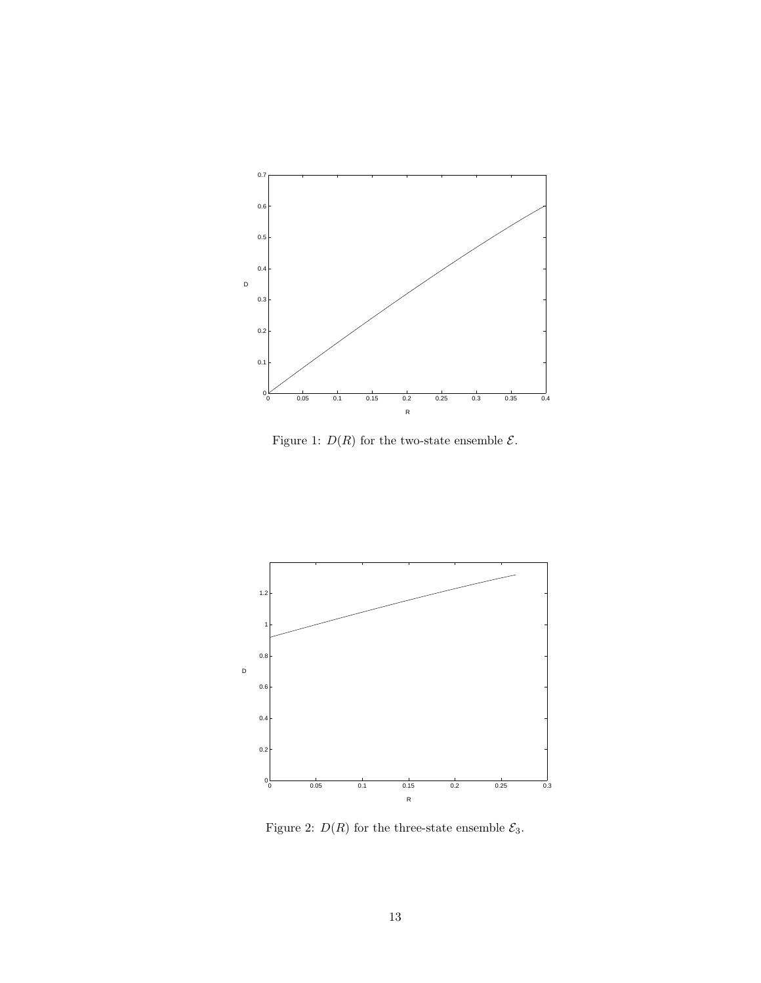

Figure 1:  $D(R)$  for the two-state ensemble  $\mathcal{E}.$ 



Figure 2:  $D(R)$  for the three-state ensemble  $\mathcal{E}_3.$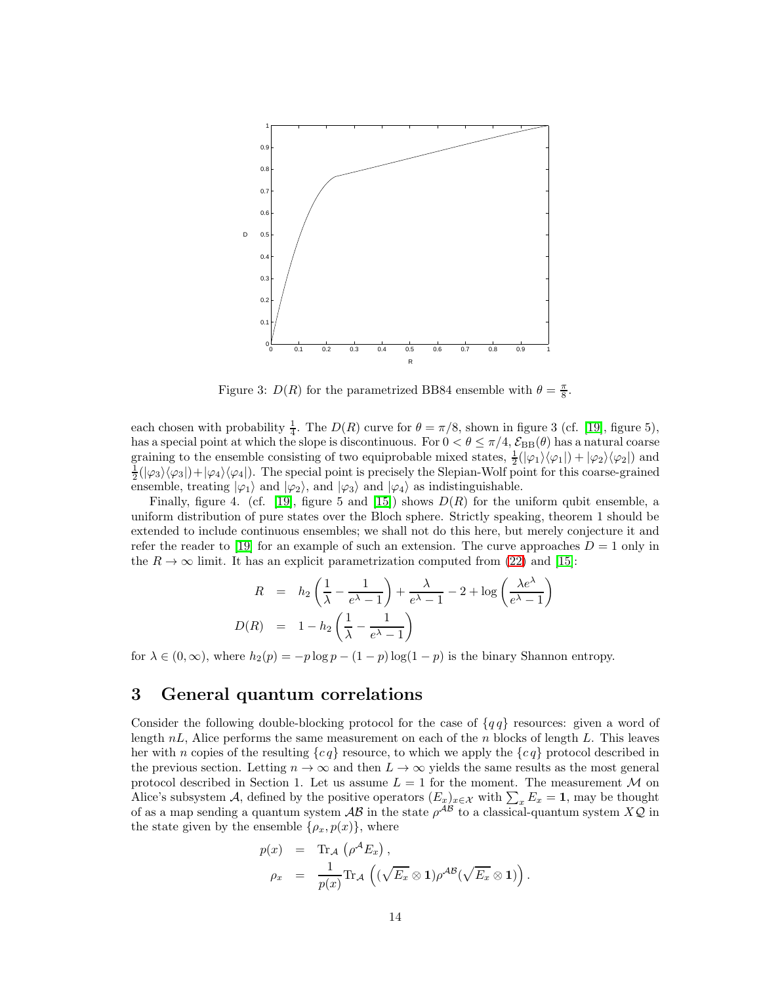

Figure 3:  $D(R)$  for the parametrized BB84 ensemble with  $\theta = \frac{\pi}{8}$ .

each chosen with probability  $\frac{1}{4}$ . The  $D(R)$  curve for  $\theta = \pi/8$ , shown in figure 3 (cf. [\[19\]](#page-20-9), figure 5), has a special point at which the slope is discontinuous. For  $0 < \theta \le \pi/4$ ,  $\mathcal{E}_{BB}(\theta)$  has a natural coarse graining to the ensemble consisting of two equiprobable mixed states,  $\frac{1}{2}(|\varphi_1\rangle\langle\varphi_1|) + |\varphi_2\rangle\langle\varphi_2|)$  and  $\frac{1}{2}(|\varphi_3\rangle\langle\varphi_3|)+|\varphi_4\rangle\langle\varphi_4|$ . The special point is precisely the Slepian-Wolf point for this coarse-grained ensemble, treating  $|\varphi_1\rangle$  and  $|\varphi_2\rangle$ , and  $|\varphi_3\rangle$  and  $|\varphi_4\rangle$  as indistinguishable.

Finally, figure 4. (cf. [\[19\]](#page-20-9), figure 5 and [\[15\]](#page-20-8)) shows  $D(R)$  for the uniform qubit ensemble, a uniform distribution of pure states over the Bloch sphere. Strictly speaking, theorem 1 should be extended to include continuous ensembles; we shall not do this here, but merely conjecture it and refer the reader to [\[19\]](#page-20-9) for an example of such an extension. The curve approaches  $D = 1$  only in the  $R \to \infty$  limit. It has an explicit parametrization computed from [\(22\)](#page-11-1) and [\[15\]](#page-20-8):

$$
R = h_2 \left( \frac{1}{\lambda} - \frac{1}{e^{\lambda} - 1} \right) + \frac{\lambda}{e^{\lambda} - 1} - 2 + \log \left( \frac{\lambda e^{\lambda}}{e^{\lambda} - 1} \right)
$$

$$
D(R) = 1 - h_2 \left( \frac{1}{\lambda} - \frac{1}{e^{\lambda} - 1} \right)
$$

<span id="page-13-0"></span>for  $\lambda \in (0, \infty)$ , where  $h_2(p) = -p \log p - (1 - p) \log(1 - p)$  is the binary Shannon entropy.

## 3 General quantum correlations

Consider the following double-blocking protocol for the case of  ${q \mid q}$  resources: given a word of length  $nL$ , Alice performs the same measurement on each of the n blocks of length L. This leaves her with n copies of the resulting  ${c q}$  resource, to which we apply the  ${c q}$  protocol described in the previous section. Letting  $n \to \infty$  and then  $L \to \infty$  yields the same results as the most general protocol described in Section 1. Let us assume  $L = 1$  for the moment. The measurement M on Alice's subsystem A, defined by the positive operators  $(E_x)_{x \in \mathcal{X}}$  with  $\sum_x E_x = 1$ , may be thought of as a map sending a quantum system  $AB$  in the state  $\rho^{AB}$  to a classical-quantum system  $XQ$  in the state given by the ensemble  $\{\rho_x, p(x)\}\,$ , where

$$
p(x) = \text{Tr}_{\mathcal{A}} (\rho^{\mathcal{A}} E_x),
$$
  
\n
$$
\rho_x = \frac{1}{p(x)} \text{Tr}_{\mathcal{A}} ((\sqrt{E_x} \otimes 1) \rho^{\mathcal{A}\mathcal{B}} (\sqrt{E_x} \otimes 1)).
$$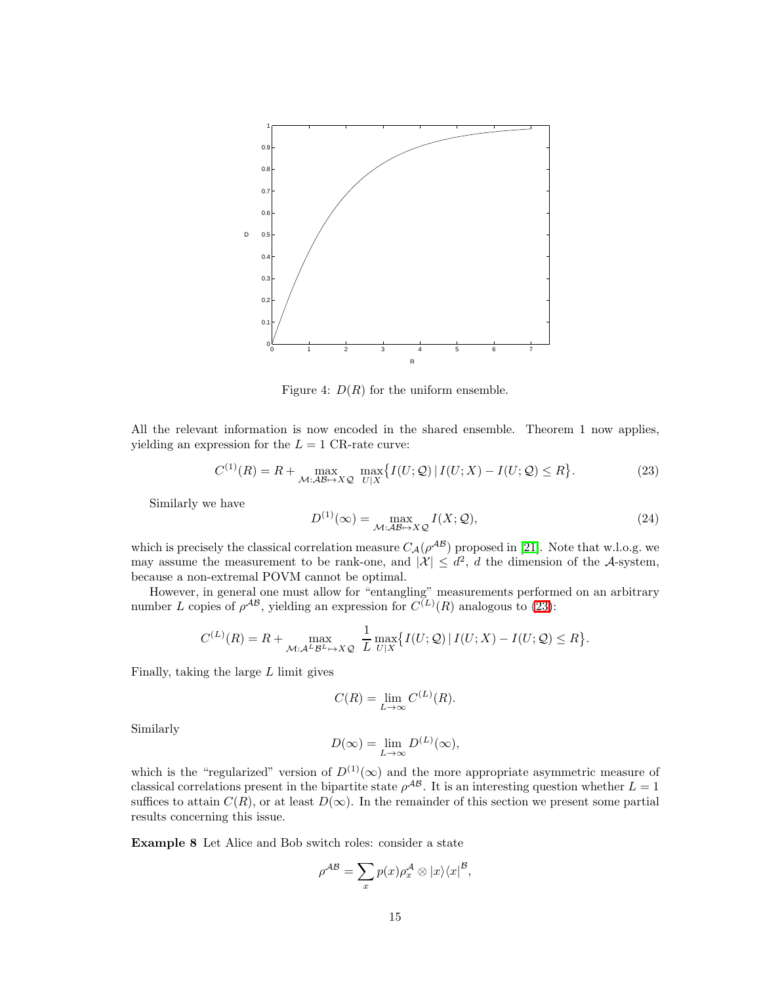

Figure 4:  $D(R)$  for the uniform ensemble.

<span id="page-14-0"></span>All the relevant information is now encoded in the shared ensemble. Theorem 1 now applies, yielding an expression for the  $L = 1$  CR-rate curve:

<span id="page-14-1"></span>
$$
C^{(1)}(R) = R + \max_{\mathcal{M}: \mathcal{AB} \mapsto X\mathcal{Q}} \max_{U|X} \{ I(U; \mathcal{Q}) \mid I(U; X) - I(U; \mathcal{Q}) \le R \}.
$$
 (23)

Similarly we have

$$
D^{(1)}(\infty) = \max_{\mathcal{M} : \mathcal{AB} \mapsto X \mathcal{Q}} I(X; \mathcal{Q}),
$$
\n(24)

which is precisely the classical correlation measure  $C_A(\rho^{AB})$  proposed in [\[21\]](#page-20-11). Note that w.l.o.g. we may assume the measurement to be rank-one, and  $|\mathcal{X}| \leq d^2$ , d the dimension of the A-system, because a non-extremal POVM cannot be optimal.

However, in general one must allow for "entangling" measurements performed on an arbitrary number L copies of  $\rho^{AB}$ , yielding an expression for  $C^{(L)}(R)$  analogous to [\(23\)](#page-14-0):

$$
C^{(L)}(R) = R + \max_{\mathcal{M}: \mathcal{A}^L \mathcal{B}^L \mapsto X \mathcal{Q}} \frac{1}{L} \max_{U|X} \{ I(U; \mathcal{Q}) \mid I(U; X) - I(U; \mathcal{Q}) \le R \}.
$$

Finally, taking the large  $L$  limit gives

$$
C(R) = \lim_{L \to \infty} C^{(L)}(R).
$$

Similarly

$$
D(\infty) = \lim_{L \to \infty} D^{(L)}(\infty),
$$

which is the "regularized" version of  $D^{(1)}(\infty)$  and the more appropriate asymmetric measure of classical correlations present in the bipartite state  $\rho^{AB}$ . It is an interesting question whether  $L=1$ suffices to attain  $C(R)$ , or at least  $D(\infty)$ . In the remainder of this section we present some partial results concerning this issue.

Example 8 Let Alice and Bob switch roles: consider a state

$$
\rho^{\mathcal{AB}} = \sum_{x} p(x) \rho_x^{\mathcal{A}} \otimes |x\rangle \langle x|^{\mathcal{B}},
$$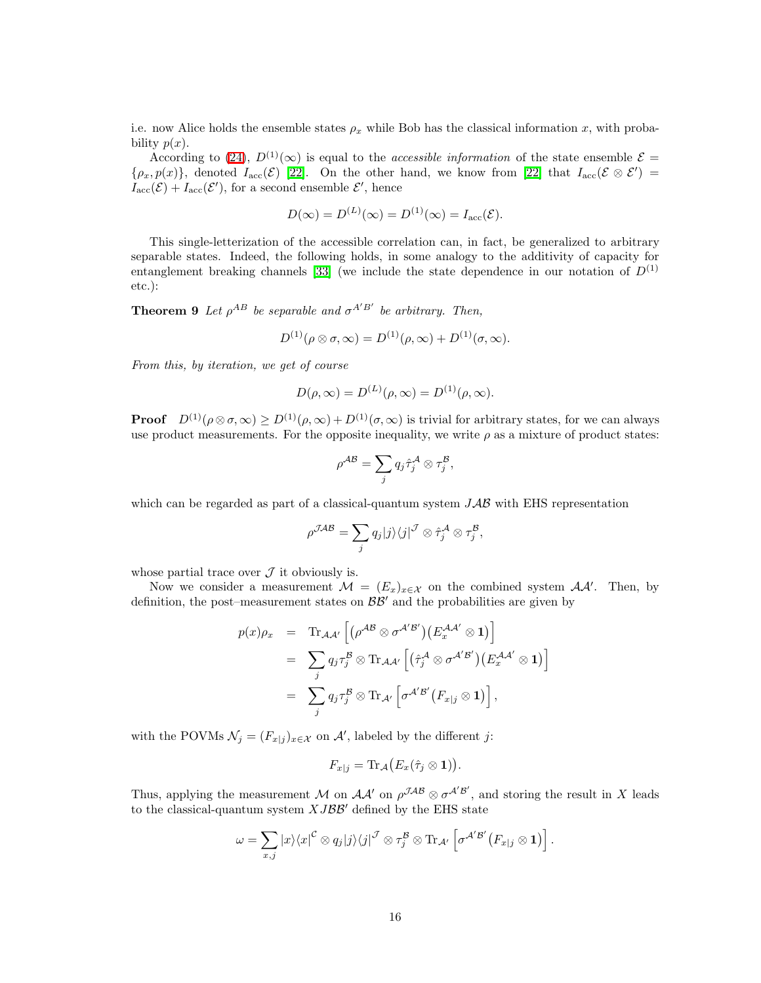i.e. now Alice holds the ensemble states  $\rho_x$  while Bob has the classical information x, with probability  $p(x)$ .

According to [\(24\)](#page-14-1),  $D^{(1)}(\infty)$  is equal to the *accessible information* of the state ensemble  $\mathcal{E} =$  $\{\rho_x, p(x)\}\$ , denoted  $I_{\rm acc}(\mathcal{E})$  [\[22\]](#page-21-10). On the other hand, we know from [22] that  $I_{\rm acc}(\mathcal{E} \otimes \mathcal{E}')$  =  $I_{\text{acc}}(\mathcal{E}) + I_{\text{acc}}(\mathcal{E}'),$  for a second ensemble  $\mathcal{E}',$  hence

$$
D(\infty) = D^{(L)}(\infty) = D^{(1)}(\infty) = I_{\text{acc}}(\mathcal{E}).
$$

This single-letterization of the accessible correlation can, in fact, be generalized to arbitrary separable states. Indeed, the following holds, in some analogy to the additivity of capacity for entanglement breaking channels [\[33\]](#page-21-11) (we include the state dependence in our notation of  $D^{(1)}$ etc.):

**Theorem 9** Let  $\rho^{AB}$  be separable and  $\sigma^{A'B'}$  be arbitrary. Then,

$$
D^{(1)}(\rho\otimes\sigma,\infty)=D^{(1)}(\rho,\infty)+D^{(1)}(\sigma,\infty).
$$

*From this, by iteration, we get of course*

$$
D(\rho, \infty) = D^{(L)}(\rho, \infty) = D^{(1)}(\rho, \infty).
$$

**Proof**  $D^{(1)}(\rho \otimes \sigma, \infty) \ge D^{(1)}(\rho, \infty) + D^{(1)}(\sigma, \infty)$  is trivial for arbitrary states, for we can always use product measurements. For the opposite inequality, we write  $\rho$  as a mixture of product states:

$$
\rho^{\mathcal{AB}} = \sum_j q_j \hat{\tau}_j^{\mathcal{A}} \otimes \tau_j^{\mathcal{B}},
$$

which can be regarded as part of a classical-quantum system  $JAB$  with EHS representation

$$
\rho^{\mathcal{JAB}} = \sum_j q_j |j\rangle\langle j|^\mathcal{J} \otimes \hat{\tau}_j^\mathcal{A} \otimes \tau_j^\mathcal{B},
$$

whose partial trace over  $\mathcal J$  it obviously is.

Now we consider a measurement  $\mathcal{M} = (E_x)_{x \in \mathcal{X}}$  on the combined system  $\mathcal{A}A'$ . Then, by definition, the post–measurement states on  $\mathcal{BB}'$  and the probabilities are given by

$$
p(x)\rho_x = \text{Tr}_{\mathcal{A}\mathcal{A}'} \left[ \left( \rho^{\mathcal{A}\mathcal{B}} \otimes \sigma^{\mathcal{A}'\mathcal{B}'} \right) \left( E_x^{\mathcal{A}\mathcal{A}'} \otimes \mathbf{1} \right) \right]
$$
  
\n
$$
= \sum_j q_j \tau_j^{\mathcal{B}} \otimes \text{Tr}_{\mathcal{A}\mathcal{A}'} \left[ \left( \hat{\tau}_j^{\mathcal{A}} \otimes \sigma^{\mathcal{A}'\mathcal{B}'} \right) \left( E_x^{\mathcal{A}\mathcal{A}'} \otimes \mathbf{1} \right) \right]
$$
  
\n
$$
= \sum_j q_j \tau_j^{\mathcal{B}} \otimes \text{Tr}_{\mathcal{A}'} \left[ \sigma^{\mathcal{A}'\mathcal{B}'} \left( F_{x|j} \otimes \mathbf{1} \right) \right],
$$

with the POVMs  $\mathcal{N}_j = (F_{x|j})_{x \in \mathcal{X}}$  on  $\mathcal{A}'$ , labeled by the different j:

$$
F_{x|j}=\mathrm{Tr}_{\mathcal{A}}\big(E_x(\hat{\tau}_j\otimes \mathbf{1})\big).
$$

Thus, applying the measurement M on  $\mathcal{A}\mathcal{A}'$  on  $\rho^{\mathcal{J}AB}\otimes \sigma^{\mathcal{A}'B'}$ , and storing the result in X leads to the classical-quantum system  $XJ\mathcal{B}\mathcal{B}'$  defined by the EHS state

$$
\omega = \sum_{x,j} |x\rangle\langle x|^{\mathcal{C}} \otimes q_j |j\rangle\langle j|^{\mathcal{J}} \otimes \tau_j^{\mathcal{B}} \otimes \text{Tr}_{\mathcal{A}'}\left[\sigma^{\mathcal{A}'\mathcal{B}'}\big(F_{x|j}\otimes \mathbf{1}\big)\right].
$$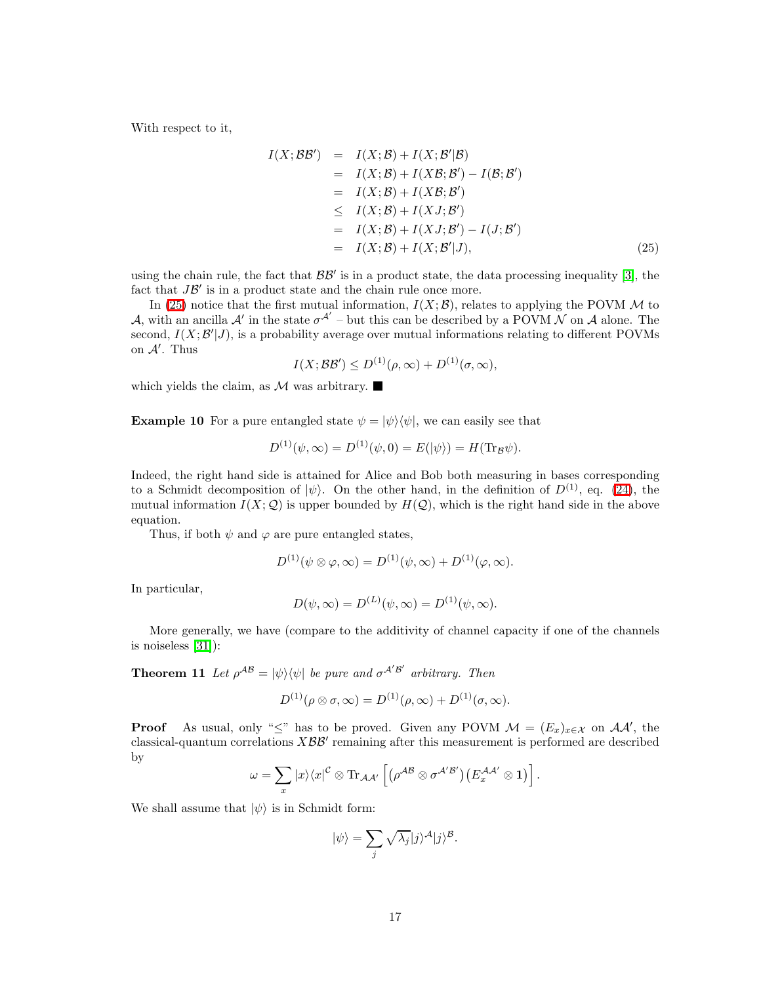<span id="page-16-0"></span>With respect to it,

$$
I(X; \mathcal{B}\mathcal{B}') = I(X; \mathcal{B}) + I(X; \mathcal{B}'|\mathcal{B})
$$
  
\n
$$
= I(X; \mathcal{B}) + I(X\mathcal{B}; \mathcal{B}') - I(\mathcal{B}; \mathcal{B}')
$$
  
\n
$$
= I(X; \mathcal{B}) + I(X\mathcal{B}; \mathcal{B}')
$$
  
\n
$$
\leq I(X; \mathcal{B}) + I(XJ; \mathcal{B}')
$$
  
\n
$$
= I(X; \mathcal{B}) + I(XJ; \mathcal{B}') - I(J; \mathcal{B}')
$$
  
\n
$$
= I(X; \mathcal{B}) + I(X; \mathcal{B}'|J),
$$
\n(25)

using the chain rule, the fact that  $\mathcal{B}\mathcal{B}'$  is in a product state, the data processing inequality [\[3\]](#page-19-2), the fact that  $J\mathcal{B}'$  is in a product state and the chain rule once more.

In [\(25\)](#page-16-0) notice that the first mutual information,  $I(X; \mathcal{B})$ , relates to applying the POVM M to A, with an ancilla A' in the state  $\sigma^{A'}$  – but this can be described by a POVM N on A alone. The second,  $I(X; \mathcal{B}'|J)$ , is a probability average over mutual informations relating to different POVMs on A′ . Thus

$$
I(X; B\mathcal{B}') \le D^{(1)}(\rho, \infty) + D^{(1)}(\sigma, \infty),
$$

which yields the claim, as  $M$  was arbitrary.

**Example 10** For a pure entangled state  $\psi = |\psi\rangle\langle\psi|$ , we can easily see that

$$
D^{(1)}(\psi, \infty) = D^{(1)}(\psi, 0) = E(|\psi\rangle) = H(\text{Tr}_{\mathcal{B}}\psi).
$$

Indeed, the right hand side is attained for Alice and Bob both measuring in bases corresponding to a Schmidt decomposition of  $|\psi\rangle$ . On the other hand, in the definition of  $D^{(1)}$ , eq. [\(24\)](#page-14-1), the mutual information  $I(X; Q)$  is upper bounded by  $H(Q)$ , which is the right hand side in the above equation.

Thus, if both  $\psi$  and  $\varphi$  are pure entangled states,

$$
D^{(1)}(\psi\otimes\varphi,\infty)=D^{(1)}(\psi,\infty)+D^{(1)}(\varphi,\infty).
$$

In particular,

$$
D(\psi, \infty) = D^{(L)}(\psi, \infty) = D^{(1)}(\psi, \infty).
$$

More generally, we have (compare to the additivity of channel capacity if one of the channels is noiseless [\[31\]](#page-21-12)):

**Theorem 11** Let  $\rho^{AB} = |\psi\rangle\langle\psi|$  be pure and  $\sigma^{A'B'}$  arbitrary. Then

$$
D^{(1)}(\rho\otimes\sigma,\infty)=D^{(1)}(\rho,\infty)+D^{(1)}(\sigma,\infty).
$$

**Proof** As usual, only " $\leq$ " has to be proved. Given any POVM  $\mathcal{M} = (E_x)_{x \in \mathcal{X}}$  on  $\mathcal{A}\mathcal{A}'$ , the classical-quantum correlations  $X\mathcal{B}\mathcal{B}'$  remaining after this measurement is performed are described by

$$
\omega = \sum_{x} |x\rangle\langle x|^{\mathcal{C}} \otimes \text{Tr}_{\mathcal{A}\mathcal{A}'} \left[ \left( \rho^{\mathcal{A}\mathcal{B}} \otimes \sigma^{\mathcal{A}'\mathcal{B}'} \right) \left( E_{x}^{\mathcal{A}\mathcal{A}'} \otimes \mathbf{1} \right) \right].
$$

We shall assume that  $|\psi\rangle$  is in Schmidt form:

$$
|\psi\rangle = \sum_{j} \sqrt{\lambda_j} |j\rangle^{\mathcal{A}} |j\rangle^{\mathcal{B}}.
$$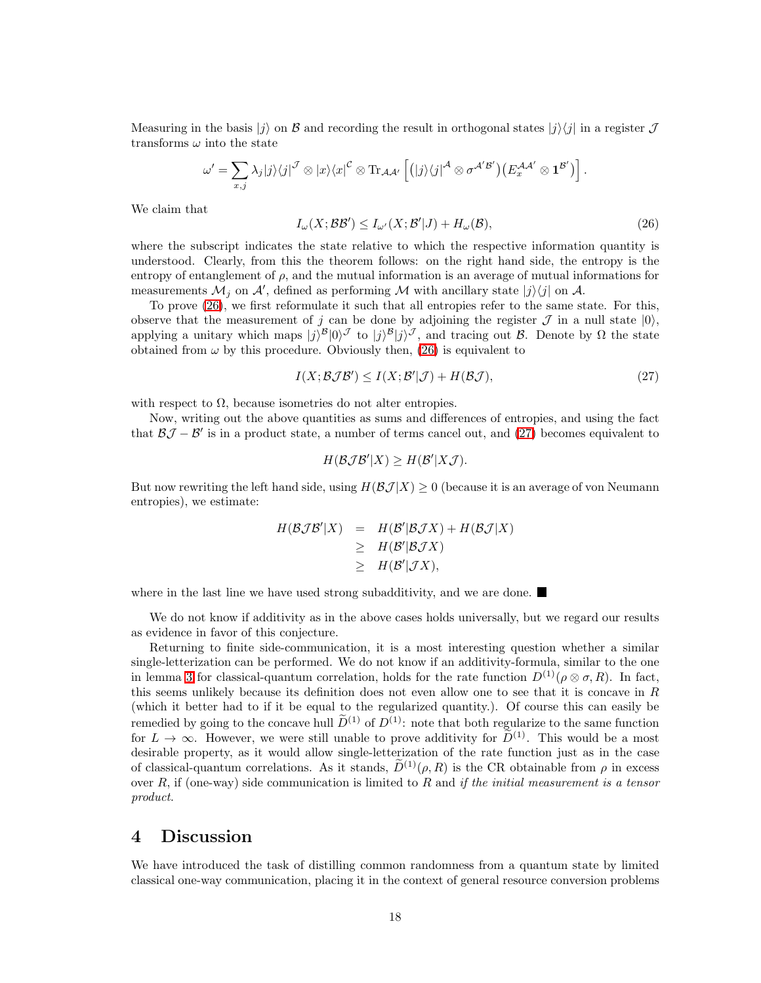Measuring in the basis  $|j\rangle$  on  $\mathcal B$  and recording the result in orthogonal states  $|j\rangle\langle j|$  in a register  $\mathcal J$ transforms  $\omega$  into the state

<span id="page-17-0"></span>
$$
\omega' = \sum_{x,j} \lambda_j |j\rangle\langle j|^{\mathcal{J}} \otimes |x\rangle\langle x|^{\mathcal{C}} \otimes \text{Tr}_{\mathcal{A}\mathcal{A}'}\left[ (|j\rangle\langle j|^{\mathcal{A}} \otimes \sigma^{\mathcal{A}'\mathcal{B}'}) \left( E_x^{\mathcal{A}\mathcal{A}'} \otimes \mathbf{1}^{\mathcal{B}'} \right) \right].
$$

We claim that

$$
I_{\omega}(X;\mathcal{B}\mathcal{B}') \le I_{\omega'}(X;\mathcal{B}'|J) + H_{\omega}(\mathcal{B}),\tag{26}
$$

where the subscript indicates the state relative to which the respective information quantity is understood. Clearly, from this the theorem follows: on the right hand side, the entropy is the entropy of entanglement of  $\rho$ , and the mutual information is an average of mutual informations for measurements  $\mathcal{M}_j$  on  $\mathcal{A}'$ , defined as performing  $\mathcal M$  with ancillary state  $|j\rangle\langle j|$  on  $\mathcal{A}$ .

To prove [\(26\)](#page-17-0), we first reformulate it such that all entropies refer to the same state. For this, observe that the measurement of j can be done by adjoining the register  $\mathcal J$  in a null state  $|0\rangle$ , applying a unitary which maps  $|j^{\beta}|0\rangle^{\beta}$  to  $|j\rangle^{\beta}|j\rangle^{\beta}$ , and tracing out  $\beta$ . Denote by  $\Omega$  the state obtained from  $\omega$  by this procedure. Obviously then, [\(26\)](#page-17-0) is equivalent to

$$
I(X; \mathcal{BIB}) \le I(X; \mathcal{B}'|\mathcal{J}) + H(\mathcal{B}\mathcal{J}),\tag{27}
$$

<span id="page-17-1"></span>with respect to  $\Omega$ , because isometries do not alter entropies.

Now, writing out the above quantities as sums and differences of entropies, and using the fact that  $\mathcal{B}J - \mathcal{B}'$  is in a product state, a number of terms cancel out, and [\(27\)](#page-17-1) becomes equivalent to

$$
H(\mathcal{B}\mathcal{J}\mathcal{B}'|X) \geq H(\mathcal{B}'|X\mathcal{J}).
$$

But now rewriting the left hand side, using  $H(\mathcal{BJ}|X) \geq 0$  (because it is an average of von Neumann entropies), we estimate:

$$
H(\mathcal{B}\mathcal{J}\mathcal{B}'|X) = H(\mathcal{B}'|\mathcal{B}\mathcal{J}X) + H(\mathcal{B}\mathcal{J}|X)
$$
  
\n
$$
\geq H(\mathcal{B}'|\mathcal{B}\mathcal{J}X)
$$
  
\n
$$
\geq H(\mathcal{B}'|\mathcal{J}X),
$$

where in the last line we have used strong subadditivity, and we are done.  $\blacksquare$ 

We do not know if additivity as in the above cases holds universally, but we regard our results as evidence in favor of this conjecture.

Returning to finite side-communication, it is a most interesting question whether a similar single-letterization can be performed. We do not know if an additivity-formula, similar to the one in lemma [3](#page-6-0) for classical-quantum correlation, holds for the rate function  $D^{(1)}(\rho \otimes \sigma, R)$ . In fact, this seems unlikely because its definition does not even allow one to see that it is concave in R (which it better had to if it be equal to the regularized quantity.). Of course this can easily be remedied by going to the concave hull  $\widetilde{D}^{(1)}$  of  $D^{(1)}$ : note that both regularize to the same function for  $L \to \infty$ . However, we were still unable to prove additivity for  $\tilde{D}^{(1)}$ . This would be a most desirable property, as it would allow single-letterization of the rate function just as in the case of classical-quantum correlations. As it stands,  $\tilde{D}^{(1)}(\rho, R)$  is the CR obtainable from  $\rho$  in excess over R, if (one-way) side communication is limited to R and *if the initial measurement is a tensor product*.

#### 4 Discussion

We have introduced the task of distilling common randomness from a quantum state by limited classical one-way communication, placing it in the context of general resource conversion problems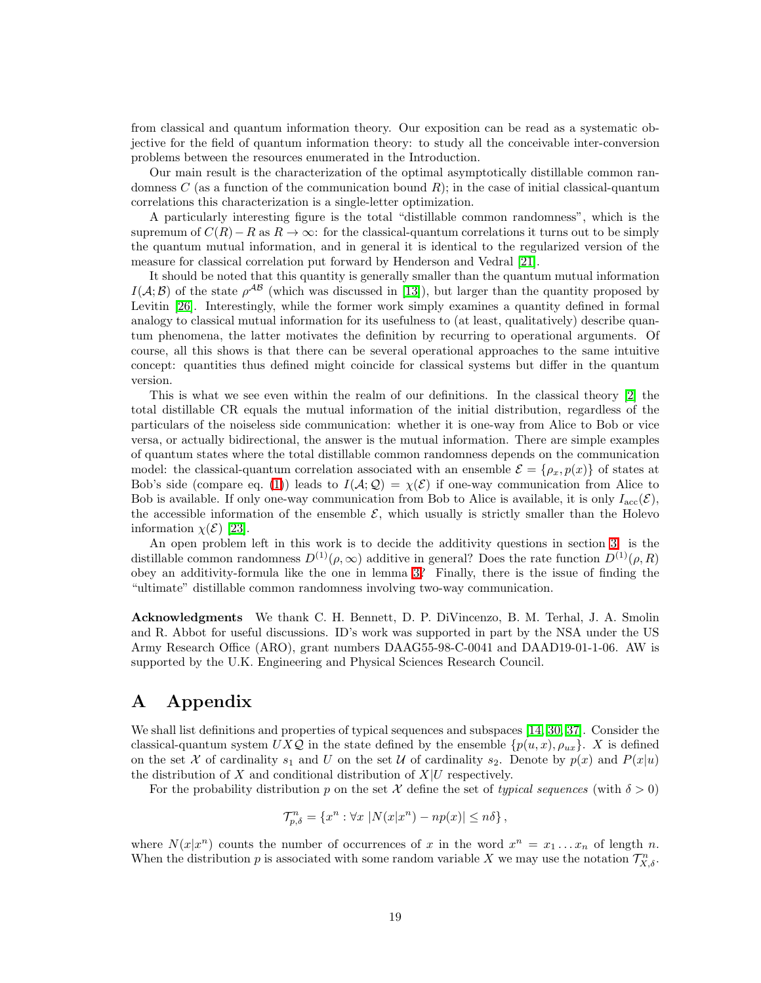from classical and quantum information theory. Our exposition can be read as a systematic objective for the field of quantum information theory: to study all the conceivable inter-conversion problems between the resources enumerated in the Introduction.

Our main result is the characterization of the optimal asymptotically distillable common randomness C (as a function of the communication bound  $R$ ); in the case of initial classical-quantum correlations this characterization is a single-letter optimization.

A particularly interesting figure is the total "distillable common randomness", which is the supremum of  $C(R) - R$  as  $R \to \infty$ : for the classical-quantum correlations it turns out to be simply the quantum mutual information, and in general it is identical to the regularized version of the measure for classical correlation put forward by Henderson and Vedral [\[21\]](#page-20-11).

It should be noted that this quantity is generally smaller than the quantum mutual information  $I(A;\mathcal{B})$  of the state  $\rho^{AB}$  (which was discussed in [\[13\]](#page-20-14)), but larger than the quantity proposed by Levitin [\[26\]](#page-21-13). Interestingly, while the former work simply examines a quantity defined in formal analogy to classical mutual information for its usefulness to (at least, qualitatively) describe quantum phenomena, the latter motivates the definition by recurring to operational arguments. Of course, all this shows is that there can be several operational approaches to the same intuitive concept: quantities thus defined might coincide for classical systems but differ in the quantum version.

This is what we see even within the realm of our definitions. In the classical theory [\[2\]](#page-19-1) the total distillable CR equals the mutual information of the initial distribution, regardless of the particulars of the noiseless side communication: whether it is one-way from Alice to Bob or vice versa, or actually bidirectional, the answer is the mutual information. There are simple examples of quantum states where the total distillable common randomness depends on the communication model: the classical-quantum correlation associated with an ensemble  $\mathcal{E} = {\rho_x, p(x)}$  of states at Bob's side (compare eq. [\(1\)](#page-1-0)) leads to  $I(A; Q) = \chi(\mathcal{E})$  if one-way communication from Alice to Bob is available. If only one-way communication from Bob to Alice is available, it is only  $I_{\text{acc}}(\mathcal{E})$ , the accessible information of the ensemble  $\mathcal{E}$ , which usually is strictly smaller than the Holevo information  $\chi(\mathcal{E})$  [\[23\]](#page-21-8).

An open problem left in this work is to decide the additivity questions in section [3:](#page-13-0) is the distillable common randomness  $D^{(1)}(\rho,\infty)$  additive in general? Does the rate function  $D^{(1)}(\rho,R)$ obey an additivity-formula like the one in lemma [3?](#page-6-0) Finally, there is the issue of finding the "ultimate" distillable common randomness involving two-way communication.

Acknowledgments We thank C. H. Bennett, D. P. DiVincenzo, B. M. Terhal, J. A. Smolin and R. Abbot for useful discussions. ID's work was supported in part by the NSA under the US Army Research Office (ARO), grant numbers DAAG55-98-C-0041 and DAAD19-01-1-06. AW is supported by the U.K. Engineering and Physical Sciences Research Council.

# A Appendix

We shall list definitions and properties of typical sequences and subspaces [\[14,](#page-20-13) [30,](#page-21-1) [37\]](#page-22-0). Consider the classical-quantum system  $UXQ$  in the state defined by the ensemble  $\{p(u, x), \rho_{ux}\}\$ . X is defined on the set X of cardinality  $s_1$  and U on the set U of cardinality  $s_2$ . Denote by  $p(x)$  and  $P(x|u)$ the distribution of X and conditional distribution of  $X|U$  respectively.

For the probability distribution p on the set X define the set of *typical sequences* (with  $\delta > 0$ )

$$
\mathcal{T}_{p,\delta}^n = \{x^n : \forall x \ |N(x|x^n) - np(x)| \leq n\delta\},\
$$

where  $N(x|x^n)$  counts the number of occurrences of x in the word  $x^n = x_1...x_n$  of length n. When the distribution p is associated with some random variable X we may use the notation  $\mathcal{T}_{X,\delta}^n$ .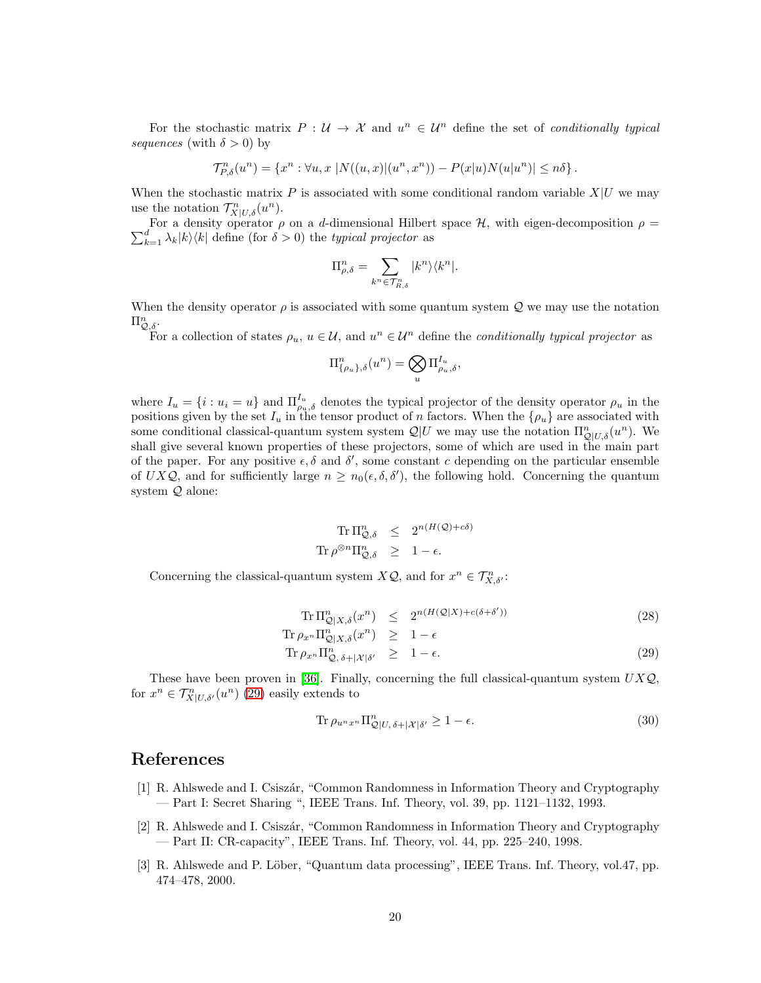For the stochastic matrix  $P: U \to X$  and  $u^n \in U^n$  define the set of *conditionally typical sequences* (with  $\delta > 0$ ) by

$$
\mathcal{T}_{P,\delta}^n(u^n) = \{x^n : \forall u, x \; |N((u,x)|(u^n,x^n)) - P(x|u)N(u|u^n)| \leq n\delta\}.
$$

When the stochastic matrix P is associated with some conditional random variable  $X|U$  we may use the notation  $\mathcal{T}_{X|U,\delta}^n(u^n)$ .

 $\sum$ For a density operator  $\rho$  on a *d*-dimensional Hilbert space  $H$ , with eigen-decomposition  $\rho =$ <br> $\frac{d}{k=1} \lambda_k |k\rangle \langle k|$  define (for  $\delta > 0$ ) the *typical projector* as

$$
\Pi_{\rho,\delta}^n=\sum_{k^n\in \mathcal{T}_{R,\delta}^n} |k^n\rangle\langle k^n|.
$$

When the density operator  $\rho$  is associated with some quantum system  $\mathcal Q$  we may use the notation  $\Pi_{\mathcal{Q},\delta}^n$ .

For a collection of states  $\rho_u, u \in \mathcal{U}$ , and  $u^n \in \mathcal{U}^n$  define the *conditionally typical projector* as

$$
\Pi_{\{\rho_u\},\delta}^n(u^n) = \bigotimes_u \Pi_{\rho_u,\delta}^{I_u},
$$

where  $I_u = \{i : u_i = u\}$  and  $\Pi_{\rho_u, \delta}^{I_u}$  denotes the typical projector of the density operator  $\rho_u$  in the positions given by the set  $I_u$  in the tensor product of n factors. When the  $\{\rho_u\}$  are associated with some conditional classical-quantum system system  $\mathcal{Q}|U$  we may use the notation  $\Pi_{\mathcal{Q}|U,\delta}^n(u^n)$ . We shall give several known properties of these projectors, some of which are used in the main part of the paper. For any positive  $\epsilon, \delta$  and  $\delta'$ , some constant c depending on the particular ensemble of UXQ, and for sufficiently large  $n \geq n_0(\epsilon, \delta, \delta')$ , the following hold. Concerning the quantum system Q alone:

$$
\operatorname{Tr} \Pi_{\mathcal{Q},\delta}^{n} \leq 2^{n(H(\mathcal{Q}) + c\delta)}
$$
  

$$
\operatorname{Tr} \rho^{\otimes n} \Pi_{\mathcal{Q},\delta}^{n} \geq 1 - \epsilon.
$$

Concerning the classical-quantum system  $X\mathcal{Q}$ , and for  $x^n \in \mathcal{T}^n_{X,\delta}$ :

$$
\text{Tr}\,\Pi_{\mathcal{Q}|X,\delta}^{n}(x^{n}) \leq 2^{n(H(\mathcal{Q}|X)+c(\delta+\delta'))} \tag{28}
$$

<span id="page-19-3"></span>
$$
\begin{array}{rcl}\n\operatorname{Tr}\rho_{x^n}\Pi_{\mathcal{Q}|X,\delta}^n(x^n) & \geq & 1-\epsilon \\
\operatorname{Tr}\rho_{x^n}\Pi_{\mathcal{Q},\delta+|\mathcal{X}|\delta'}^n & \geq & 1-\epsilon.\n\end{array} \tag{29}
$$

These have been proven in [\[36\]](#page-21-14). Finally, concerning the full classical-quantum system  $UXQ$ , for  $x^n \in \mathcal{T}^n_{X|U,\delta'}(u^n)$  [\(29\)](#page-19-3) easily extends to

$$
\operatorname{Tr}\rho_{u^nx^n}\Pi_{\mathcal{Q}|U,\delta+|\mathcal{X}|\delta'}^n \ge 1-\epsilon.
$$
\n(30)

## <span id="page-19-0"></span>References

- [1] R. Ahlswede and I. Csisz´ar, "Common Randomness in Information Theory and Cryptography — Part I: Secret Sharing ", IEEE Trans. Inf. Theory, vol. 39, pp. 1121–1132, 1993.
- <span id="page-19-1"></span>[2] R. Ahlswede and I. Csiszár, "Common Randomness in Information Theory and Cryptography — Part II: CR-capacity", IEEE Trans. Inf. Theory, vol. 44, pp. 225–240, 1998.
- <span id="page-19-2"></span>[3] R. Ahlswede and P. Löber, "Quantum data processing", IEEE Trans. Inf. Theory, vol.47, pp. 474–478, 2000.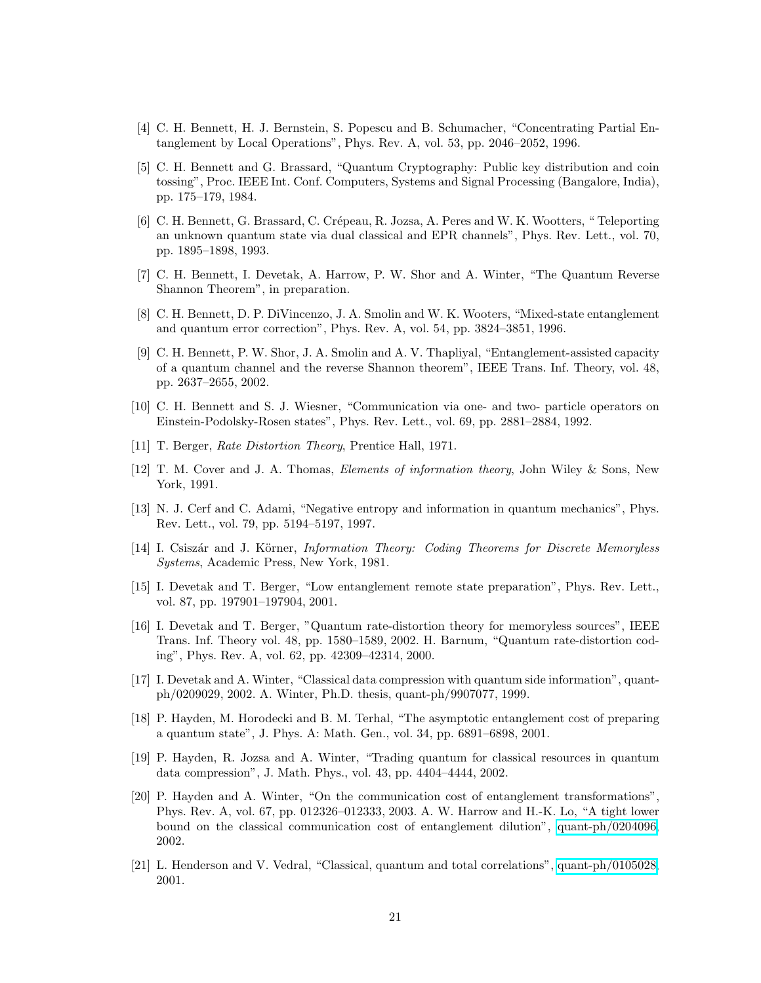- <span id="page-20-0"></span>[4] C. H. Bennett, H. J. Bernstein, S. Popescu and B. Schumacher, "Concentrating Partial Entanglement by Local Operations", Phys. Rev. A, vol. 53, pp. 2046–2052, 1996.
- [5] C. H. Bennett and G. Brassard, "Quantum Cryptography: Public key distribution and coin tossing", Proc. IEEE Int. Conf. Computers, Systems and Signal Processing (Bangalore, India), pp. 175–179, 1984.
- <span id="page-20-4"></span>[6] C. H. Bennett, G. Brassard, C. Crépeau, R. Jozsa, A. Peres and W. K. Wootters, " Teleporting an unknown quantum state via dual classical and EPR channels", Phys. Rev. Lett., vol. 70, pp. 1895–1898, 1993.
- <span id="page-20-7"></span><span id="page-20-2"></span>[7] C. H. Bennett, I. Devetak, A. Harrow, P. W. Shor and A. Winter, "The Quantum Reverse Shannon Theorem", in preparation.
- [8] C. H. Bennett, D. P. DiVincenzo, J. A. Smolin and W. K. Wooters, "Mixed-state entanglement and quantum error correction", Phys. Rev. A, vol. 54, pp. 3824–3851, 1996.
- <span id="page-20-6"></span>[9] C. H. Bennett, P. W. Shor, J. A. Smolin and A. V. Thapliyal, "Entanglement-assisted capacity of a quantum channel and the reverse Shannon theorem", IEEE Trans. Inf. Theory, vol. 48, pp. 2637–2655, 2002.
- <span id="page-20-5"></span>[10] C. H. Bennett and S. J. Wiesner, "Communication via one- and two- particle operators on Einstein-Podolsky-Rosen states", Phys. Rev. Lett., vol. 69, pp. 2881–2884, 1992.
- <span id="page-20-12"></span>[11] T. Berger, *Rate Distortion Theory*, Prentice Hall, 1971.
- [12] T. M. Cover and J. A. Thomas, *Elements of information theory*, John Wiley & Sons, New York, 1991.
- <span id="page-20-14"></span><span id="page-20-13"></span>[13] N. J. Cerf and C. Adami, "Negative entropy and information in quantum mechanics", Phys. Rev. Lett., vol. 79, pp. 5194–5197, 1997.
- [14] I. Csiszár and J. Körner, *Information Theory: Coding Theorems for Discrete Memoryless Systems*, Academic Press, New York, 1981.
- <span id="page-20-8"></span>[15] I. Devetak and T. Berger, "Low entanglement remote state preparation", Phys. Rev. Lett., vol. 87, pp. 197901–197904, 2001.
- [16] I. Devetak and T. Berger, "Quantum rate-distortion theory for memoryless sources", IEEE Trans. Inf. Theory vol. 48, pp. 1580–1589, 2002. H. Barnum, "Quantum rate-distortion coding", Phys. Rev. A, vol. 62, pp. 42309–42314, 2000.
- <span id="page-20-10"></span>[17] I. Devetak and A. Winter, "Classical data compression with quantum side information", quantph/0209029, 2002. A. Winter, Ph.D. thesis, quant-ph/9907077, 1999.
- <span id="page-20-3"></span>[18] P. Hayden, M. Horodecki and B. M. Terhal, "The asymptotic entanglement cost of preparing a quantum state", J. Phys. A: Math. Gen., vol. 34, pp. 6891–6898, 2001.
- <span id="page-20-9"></span>[19] P. Hayden, R. Jozsa and A. Winter, "Trading quantum for classical resources in quantum data compression", J. Math. Phys., vol. 43, pp. 4404–4444, 2002.
- <span id="page-20-1"></span>[20] P. Hayden and A. Winter, "On the communication cost of entanglement transformations", Phys. Rev. A, vol. 67, pp. 012326–012333, 2003. A. W. Harrow and H.-K. Lo, "A tight lower bound on the classical communication cost of entanglement dilution", [quant-ph/0204096,](http://arxiv.org/abs/quant-ph/0204096) 2002.
- <span id="page-20-11"></span>[21] L. Henderson and V. Vedral, "Classical, quantum and total correlations", [quant-ph/0105028,](http://arxiv.org/abs/quant-ph/0105028) 2001.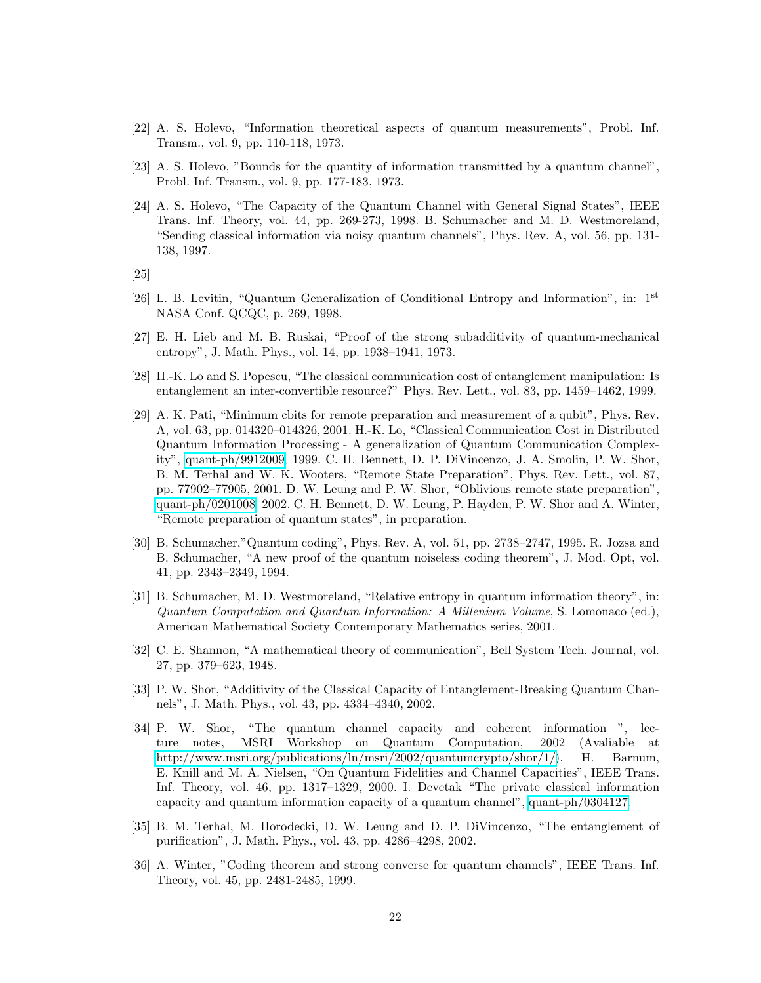- <span id="page-21-10"></span><span id="page-21-8"></span>[22] A. S. Holevo, "Information theoretical aspects of quantum measurements", Probl. Inf. Transm., vol. 9, pp. 110-118, 1973.
- <span id="page-21-5"></span>[23] A. S. Holevo, "Bounds for the quantity of information transmitted by a quantum channel", Probl. Inf. Transm., vol. 9, pp. 177-183, 1973.
- [24] A. S. Holevo, "The Capacity of the Quantum Channel with General Signal States", IEEE Trans. Inf. Theory, vol. 44, pp. 269-273, 1998. B. Schumacher and M. D. Westmoreland, "Sending classical information via noisy quantum channels", Phys. Rev. A, vol. 56, pp. 131- 138, 1997.
- <span id="page-21-13"></span><span id="page-21-7"></span>[25]
- [26] L. B. Levitin, "Quantum Generalization of Conditional Entropy and Information", in: 1st NASA Conf. QCQC, p. 269, 1998.
- <span id="page-21-9"></span>[27] E. H. Lieb and M. B. Ruskai, "Proof of the strong subadditivity of quantum-mechanical entropy", J. Math. Phys., vol. 14, pp. 1938–1941, 1973.
- <span id="page-21-2"></span>[28] H.-K. Lo and S. Popescu, "The classical communication cost of entanglement manipulation: Is entanglement an inter-convertible resource?" Phys. Rev. Lett., vol. 83, pp. 1459–1462, 1999.
- <span id="page-21-6"></span>[29] A. K. Pati, "Minimum cbits for remote preparation and measurement of a qubit", Phys. Rev. A, vol. 63, pp. 014320–014326, 2001. H.-K. Lo, "Classical Communication Cost in Distributed Quantum Information Processing - A generalization of Quantum Communication Complexity", [quant-ph/9912009,](http://arxiv.org/abs/quant-ph/9912009) 1999. C. H. Bennett, D. P. DiVincenzo, J. A. Smolin, P. W. Shor, B. M. Terhal and W. K. Wooters, "Remote State Preparation", Phys. Rev. Lett., vol. 87, pp. 77902–77905, 2001. D. W. Leung and P. W. Shor, "Oblivious remote state preparation", [quant-ph/0201008,](http://arxiv.org/abs/quant-ph/0201008) 2002. C. H. Bennett, D. W. Leung, P. Hayden, P. W. Shor and A. Winter, "Remote preparation of quantum states", in preparation.
- <span id="page-21-1"></span>[30] B. Schumacher,"Quantum coding", Phys. Rev. A, vol. 51, pp. 2738–2747, 1995. R. Jozsa and B. Schumacher, "A new proof of the quantum noiseless coding theorem", J. Mod. Opt, vol. 41, pp. 2343–2349, 1994.
- <span id="page-21-12"></span>[31] B. Schumacher, M. D. Westmoreland, "Relative entropy in quantum information theory", in: *Quantum Computation and Quantum Information: A Millenium Volume*, S. Lomonaco (ed.), American Mathematical Society Contemporary Mathematics series, 2001.
- <span id="page-21-0"></span>[32] C. E. Shannon, "A mathematical theory of communication", Bell System Tech. Journal, vol. 27, pp. 379–623, 1948.
- <span id="page-21-11"></span>[33] P. W. Shor, "Additivity of the Classical Capacity of Entanglement-Breaking Quantum Channels", J. Math. Phys., vol. 43, pp. 4334–4340, 2002.
- <span id="page-21-4"></span>[34] P. W. Shor, "The quantum channel capacity and coherent information ", lecture notes, MSRI Workshop on Quantum Computation, 2002 (Avaliable at [http://www.msri.org/publications/ln/msri/2002/quantumcrypto/shor/1/\)](http://www.msri.org/publications/ln/msri/2002/quantumcrypto/shor/1/). H. Barnum, E. Knill and M. A. Nielsen, "On Quantum Fidelities and Channel Capacities", IEEE Trans. Inf. Theory, vol. 46, pp. 1317–1329, 2000. I. Devetak "The private classical information capacity and quantum information capacity of a quantum channel", [quant-ph/0304127.](http://arxiv.org/abs/quant-ph/0304127)
- <span id="page-21-3"></span>[35] B. M. Terhal, M. Horodecki, D. W. Leung and D. P. DiVincenzo, "The entanglement of purification", J. Math. Phys., vol. 43, pp. 4286–4298, 2002.
- <span id="page-21-14"></span>[36] A. Winter, "Coding theorem and strong converse for quantum channels", IEEE Trans. Inf. Theory, vol. 45, pp. 2481-2485, 1999.